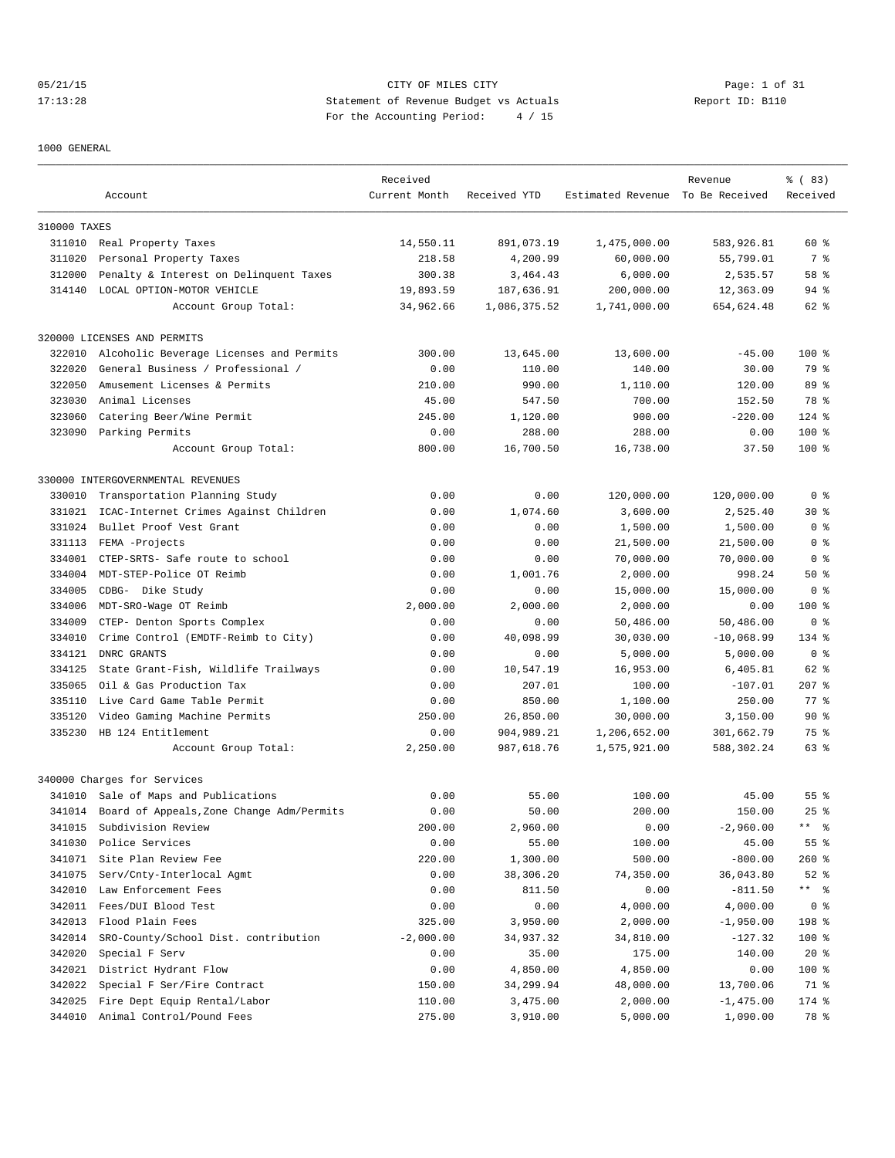## 05/21/15 CITY OF MILES CITY Page: 1 of 31 17:13:28 Statement of Revenue Budget vs Actuals Report ID: B110<br>Report ID: B110 For the Accounting Period: 4 / 15

1000 GENERAL

|              | Account                                            | Received<br>Current Month | Received YTD      | Estimated Revenue To Be Received | Revenue                  | % (83)<br>Received |
|--------------|----------------------------------------------------|---------------------------|-------------------|----------------------------------|--------------------------|--------------------|
|              |                                                    |                           |                   |                                  |                          |                    |
| 310000 TAXES |                                                    |                           |                   |                                  |                          |                    |
|              | 311010 Real Property Taxes                         | 14,550.11                 | 891,073.19        | 1,475,000.00                     | 583,926.81               | 60%                |
| 311020       | Personal Property Taxes                            | 218.58                    | 4,200.99          | 60,000.00                        | 55,799.01                | 7 %                |
| 312000       | Penalty & Interest on Delinquent Taxes             | 300.38                    | 3,464.43          | 6,000.00                         | 2,535.57                 | 58 %               |
| 314140       | LOCAL OPTION-MOTOR VEHICLE                         | 19,893.59                 | 187,636.91        | 200,000.00                       | 12,363.09                | $94$ %             |
|              | Account Group Total:                               | 34,962.66                 | 1,086,375.52      | 1,741,000.00                     | 654,624.48               | 62 %               |
|              | 320000 LICENSES AND PERMITS                        |                           |                   |                                  |                          |                    |
| 322010       | Alcoholic Beverage Licenses and Permits            | 300.00                    | 13,645.00         | 13,600.00                        | $-45.00$                 | $100*$             |
| 322020       | General Business / Professional /                  | 0.00                      | 110.00            | 140.00                           | 30.00                    | 79 %               |
| 322050       | Amusement Licenses & Permits                       | 210.00                    | 990.00            | 1,110.00                         | 120.00                   | 89 %               |
| 323030       | Animal Licenses                                    | 45.00                     | 547.50            | 700.00                           | 152.50                   | 78 %               |
| 323060       | Catering Beer/Wine Permit                          | 245.00                    | 1,120.00          | 900.00                           | $-220.00$                | $124$ %            |
| 323090       | Parking Permits                                    | 0.00                      | 288.00            | 288.00                           | 0.00                     | $100*$             |
|              | Account Group Total:                               | 800.00                    | 16,700.50         | 16,738.00                        | 37.50                    | $100*$             |
|              | 330000 INTERGOVERNMENTAL REVENUES                  |                           |                   |                                  |                          |                    |
| 330010       | Transportation Planning Study                      | 0.00                      | 0.00              | 120,000.00                       | 120,000.00               | 0 <sup>8</sup>     |
| 331021       | ICAC-Internet Crimes Against Children              | 0.00                      | 1,074.60          | 3,600.00                         | 2,525.40                 | $30*$              |
| 331024       | Bullet Proof Vest Grant                            | 0.00                      | 0.00              | 1,500.00                         | 1,500.00                 | 0 <sup>8</sup>     |
| 331113       | FEMA -Projects                                     | 0.00                      | 0.00              | 21,500.00                        | 21,500.00                | 0 %                |
| 334001       | CTEP-SRTS- Safe route to school                    | 0.00                      | 0.00              | 70,000.00                        | 70,000.00                | 0 <sub>8</sub>     |
| 334004       | MDT-STEP-Police OT Reimb                           | 0.00                      | 1,001.76          | 2,000.00                         | 998.24                   | 50%                |
| 334005       | CDBG- Dike Study                                   | 0.00                      | 0.00              | 15,000.00                        | 15,000.00                | 0 <sup>8</sup>     |
| 334006       | MDT-SRO-Wage OT Reimb                              | 2,000.00                  | 2,000.00          | 2,000.00                         | 0.00                     | $100*$             |
| 334009       |                                                    | 0.00                      | 0.00              | 50,486.00                        | 50,486.00                | 0 <sub>8</sub>     |
| 334010       | CTEP- Denton Sports Complex                        | 0.00                      |                   |                                  |                          | 134 %              |
| 334121       | Crime Control (EMDTF-Reimb to City)<br>DNRC GRANTS | 0.00                      | 40,098.99<br>0.00 | 30,030.00<br>5,000.00            | $-10,068.99$<br>5,000.00 | 0 <sub>8</sub>     |
|              |                                                    |                           |                   |                                  |                          |                    |
| 334125       | State Grant-Fish, Wildlife Trailways               | 0.00                      | 10,547.19         | 16,953.00                        | 6,405.81                 | 62 %               |
| 335065       | Oil & Gas Production Tax                           | 0.00                      | 207.01            | 100.00                           | $-107.01$                | $207$ %            |
| 335110       | Live Card Game Table Permit                        | 0.00                      | 850.00            | 1,100.00                         | 250.00                   | 77.8               |
| 335120       | Video Gaming Machine Permits                       | 250.00                    | 26,850.00         | 30,000.00                        | 3,150.00                 | 90%                |
| 335230       | HB 124 Entitlement                                 | 0.00                      | 904,989.21        | 1,206,652.00                     | 301,662.79               | 75 %               |
|              | Account Group Total:                               | 2,250.00                  | 987,618.76        | 1,575,921.00                     | 588,302.24               | 63 %               |
|              | 340000 Charges for Services                        |                           |                   |                                  |                          |                    |
|              | 341010 Sale of Maps and Publications               | 0.00                      | 55.00             | 100.00                           | 45.00                    | $55$ $%$           |
| 341014       | Board of Appeals, Zone Change Adm/Permits          | 0.00                      | 50.00             | 200.00                           | 150.00                   | $25$ $%$           |
| 341015       | Subdivision Review                                 | 200.00                    | 2,960.00          | 0.00                             | $-2,960.00$              | ** 응               |
| 341030       | Police Services                                    | 0.00                      | 55.00             | 100.00                           | 45.00                    | 55 %               |
| 341071       | Site Plan Review Fee                               | 220.00                    | 1,300.00          | 500.00                           | $-800.00$                | $260$ %            |
| 341075       | Serv/Cnty-Interlocal Agmt                          | 0.00                      | 38,306.20         | 74,350.00                        | 36,043.80                | $52$ $%$           |
| 342010       | Law Enforcement Fees                               | 0.00                      | 811.50            | 0.00                             | $-811.50$                | ** 응               |
| 342011       | Fees/DUI Blood Test                                | 0.00                      | 0.00              | 4,000.00                         | 4,000.00                 | 0 <sup>8</sup>     |
| 342013       | Flood Plain Fees                                   | 325.00                    | 3,950.00          | 2,000.00                         | $-1,950.00$              | 198 %              |
| 342014       | SRO-County/School Dist. contribution               | $-2,000.00$               | 34,937.32         | 34,810.00                        | $-127.32$                | $100$ %            |
| 342020       | Special F Serv                                     | 0.00                      | 35.00             | 175.00                           | 140.00                   | $20*$              |
| 342021       | District Hydrant Flow                              | 0.00                      | 4,850.00          | 4,850.00                         | 0.00                     | 100 %              |
| 342022       | Special F Ser/Fire Contract                        | 150.00                    | 34,299.94         | 48,000.00                        | 13,700.06                | 71 %               |
| 342025       | Fire Dept Equip Rental/Labor                       | 110.00                    | 3,475.00          | 2,000.00                         | $-1,475.00$              | $174$ %            |
| 344010       | Animal Control/Pound Fees                          | 275.00                    | 3,910.00          | 5,000.00                         | 1,090.00                 | 78 %               |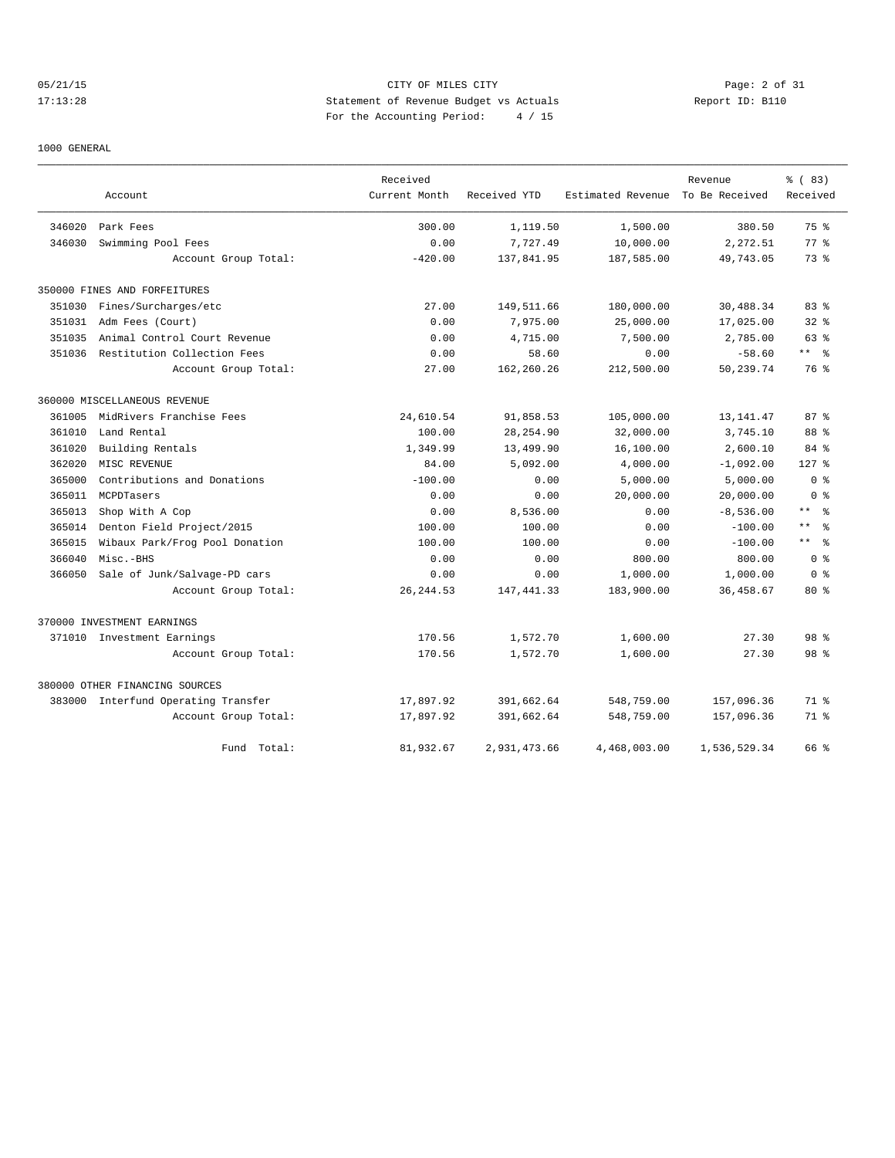## 05/21/15 CITY OF MILES CITY Page: 2 of 31 17:13:28 Statement of Revenue Budget vs Actuals Report ID: B110 For the Accounting Period: 4 / 15

### 1000 GENERAL

|        |                                     | Received      |              |                   | Revenue        | % (83)                       |
|--------|-------------------------------------|---------------|--------------|-------------------|----------------|------------------------------|
|        | Account                             | Current Month | Received YTD | Estimated Revenue | To Be Received | Received                     |
| 346020 | Park Fees                           | 300.00        | 1,119.50     | 1,500.00          | 380.50         | 75 %                         |
| 346030 | Swimming Pool Fees                  | 0.00          | 7,727.49     | 10,000.00         | 2,272.51       | $77*$                        |
|        | Account Group Total:                | $-420.00$     | 137,841.95   | 187,585.00        | 49,743.05      | 73.8                         |
|        | 350000 FINES AND FORFEITURES        |               |              |                   |                |                              |
| 351030 | Fines/Surcharges/etc                | 27.00         | 149,511.66   | 180,000.00        | 30,488.34      | 83%                          |
| 351031 | Adm Fees (Court)                    | 0.00          | 7,975.00     | 25,000.00         | 17,025.00      | 32%                          |
| 351035 | Animal Control Court Revenue        | 0.00          | 4,715.00     | 7,500.00          | 2,785.00       | 63 %                         |
|        | 351036 Restitution Collection Fees  | 0.00          | 58.60        | 0.00              | $-58.60$       | $***$ $ -$                   |
|        | Account Group Total:                | 27.00         | 162,260.26   | 212,500.00        | 50,239.74      | 76 %                         |
|        | 360000 MISCELLANEOUS REVENUE        |               |              |                   |                |                              |
| 361005 | MidRivers Franchise Fees            | 24,610.54     | 91,858.53    | 105,000.00        | 13, 141.47     | 87%                          |
| 361010 | Land Rental                         | 100.00        | 28, 254.90   | 32,000.00         | 3,745.10       | 88 %                         |
| 361020 | Building Rentals                    | 1,349.99      | 13,499.90    | 16,100.00         | 2,600.10       | 84 %                         |
| 362020 | MISC REVENUE                        | 84.00         | 5,092.00     | 4,000.00          | $-1,092.00$    | $127$ %                      |
| 365000 | Contributions and Donations         | $-100.00$     | 0.00         | 5,000.00          | 5,000.00       | 0 <sup>8</sup>               |
| 365011 | MCPDTasers                          | 0.00          | 0.00         | 20,000.00         | 20,000.00      | 0 <sup>8</sup>               |
| 365013 | Shop With A Cop                     | 0.00          | 8,536.00     | 0.00              | $-8,536.00$    | $\star$ $\star$<br>$\approx$ |
| 365014 | Denton Field Project/2015           | 100.00        | 100.00       | 0.00              | $-100.00$      | $\star$ $\star$<br>$\approx$ |
| 365015 | Wibaux Park/Frog Pool Donation      | 100.00        | 100.00       | 0.00              | $-100.00$      | $\star$ $\star$<br>$\approx$ |
| 366040 | Misc.-BHS                           | 0.00          | 0.00         | 800.00            | 800.00         | 0 <sup>8</sup>               |
| 366050 | Sale of Junk/Salvage-PD cars        | 0.00          | 0.00         | 1,000.00          | 1,000.00       | 0 <sub>8</sub>               |
|        | Account Group Total:                | 26, 244.53    | 147, 441.33  | 183,900.00        | 36, 458.67     | $80*$                        |
|        | 370000 INVESTMENT EARNINGS          |               |              |                   |                |                              |
|        | 371010 Investment Earnings          | 170.56        | 1,572.70     | 1,600.00          | 27.30          | 98 <sup>8</sup>              |
|        | Account Group Total:                | 170.56        | 1,572.70     | 1,600.00          | 27.30          | 98 <sup>8</sup>              |
|        | 380000 OTHER FINANCING SOURCES      |               |              |                   |                |                              |
|        | 383000 Interfund Operating Transfer | 17,897.92     | 391,662.64   | 548,759.00        | 157,096.36     | 71.8                         |
|        | Account Group Total:                | 17,897.92     | 391,662.64   | 548,759.00        | 157,096.36     | 71.8                         |
|        | Fund Total:                         | 81,932.67     | 2,931,473.66 | 4,468,003.00      | 1,536,529.34   | 66 %                         |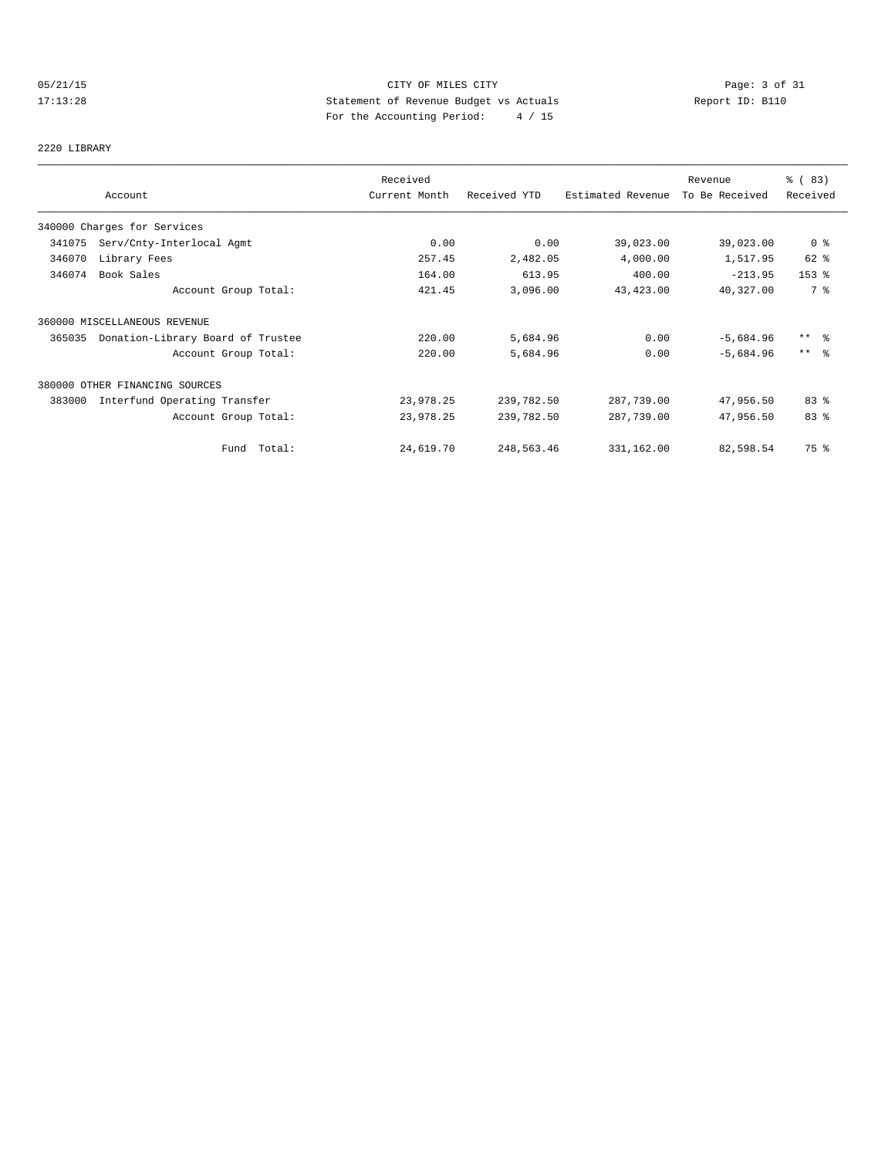## 05/21/15 **Page: 3 of 31 CITY OF MILES CITY CITY Page: 3 of 31** 17:13:28 Statement of Revenue Budget vs Actuals Report ID: B110 For the Accounting Period: 4 / 15

2220 LIBRARY

|        |                                   | Received      |              |                   | Revenue        | % (83)          |
|--------|-----------------------------------|---------------|--------------|-------------------|----------------|-----------------|
|        | Account                           | Current Month | Received YTD | Estimated Revenue | To Be Received | Received        |
|        | 340000 Charges for Services       |               |              |                   |                |                 |
| 341075 | Serv/Cnty-Interlocal Agmt         | 0.00          | 0.00         | 39,023.00         | 39,023.00      | 0 <sub>8</sub>  |
| 346070 | Library Fees                      | 257.45        | 2,482.05     | 4,000.00          | 1,517.95       | 62 %            |
| 346074 | Book Sales                        | 164.00        | 613.95       | 400.00            | $-213.95$      | $153$ $%$       |
|        | Account Group Total:              | 421.45        | 3,096.00     | 43,423.00         | 40,327.00      | 7 %             |
|        | 360000 MISCELLANEOUS REVENUE      |               |              |                   |                |                 |
| 365035 | Donation-Library Board of Trustee | 220.00        | 5,684.96     | 0.00              | $-5,684.96$    | $***$ $\approx$ |
|        | Account Group Total:              | 220.00        | 5,684.96     | 0.00              | $-5,684.96$    | $***$ 8         |
|        | 380000 OTHER FINANCING SOURCES    |               |              |                   |                |                 |
| 383000 | Interfund Operating Transfer      | 23,978.25     | 239,782.50   | 287,739.00        | 47,956.50      | 83%             |
|        | Account Group Total:              | 23,978.25     | 239,782.50   | 287,739.00        | 47,956.50      | 83 %            |
|        | Fund Total:                       | 24,619.70     | 248,563.46   | 331,162.00        | 82,598.54      | 75 %            |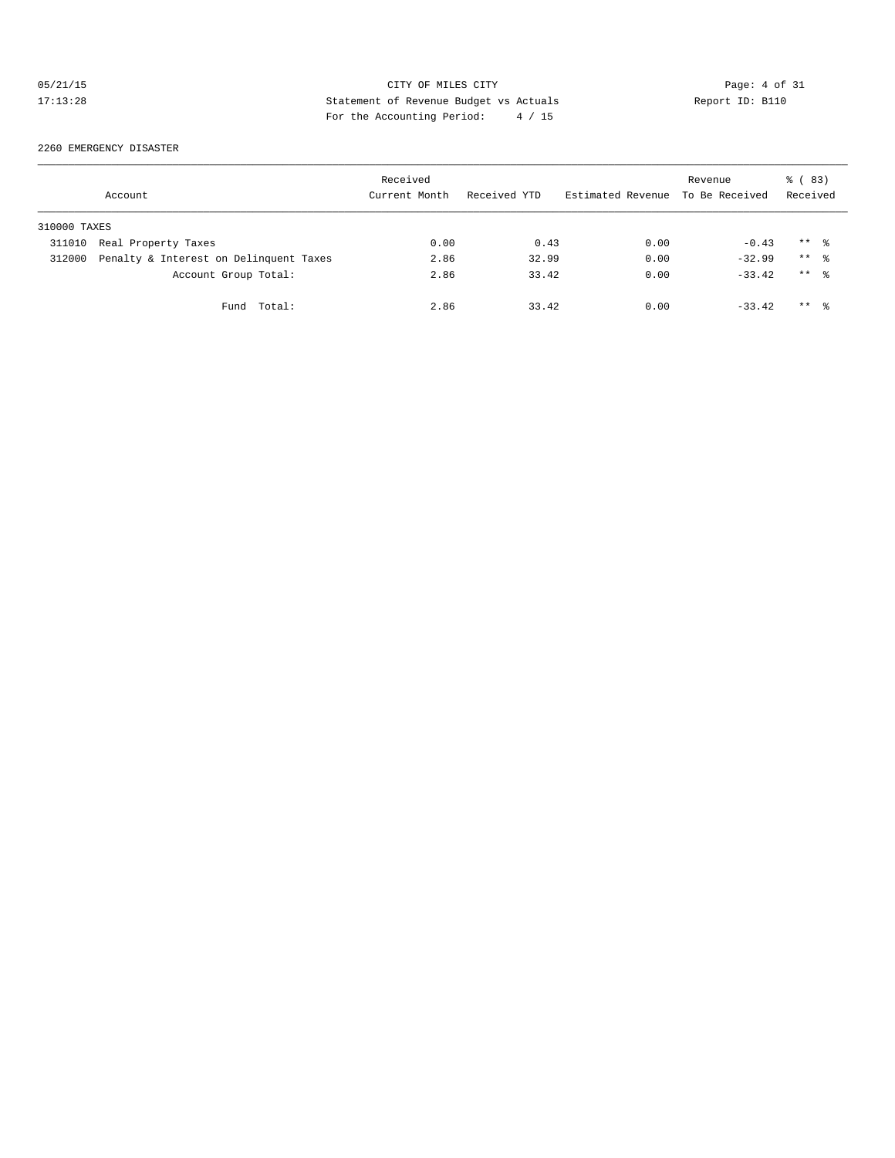## 05/21/15 CITY OF MILES CITY Page: 4 of 31<br>17:13:28 Statement of Revenue Budget vs Actuals Report ID: B110<br>Por the Accumular Device: 19:20 Statement of Revenue Budget vs Actuals 17:13:28 Statement of Revenue Budget vs Actuals Report ID: B110 For the Accounting Period: 4 / 15

#### 2260 EMERGENCY DISASTER

|              | Account                                | Received<br>Current Month | Received YTD | Estimated Revenue To Be Received | Revenue  | <sub>ර</sub> ි (83)<br>Received |
|--------------|----------------------------------------|---------------------------|--------------|----------------------------------|----------|---------------------------------|
| 310000 TAXES |                                        |                           |              |                                  |          |                                 |
| 311010       | Real Property Taxes                    | 0.00                      | 0.43         | 0.00                             | $-0.43$  | $***$ $\frac{6}{3}$             |
| 312000       | Penalty & Interest on Delinquent Taxes | 2.86                      | 32.99        | 0.00                             | $-32.99$ | $***$ $\frac{6}{3}$             |
|              | Account Group Total:                   | 2.86                      | 33.42        | 0.00                             | $-33.42$ | $***$ 2                         |
|              | Fund Total:                            | 2.86                      | 33.42        | 0.00                             | $-33.42$ | $***$ 2                         |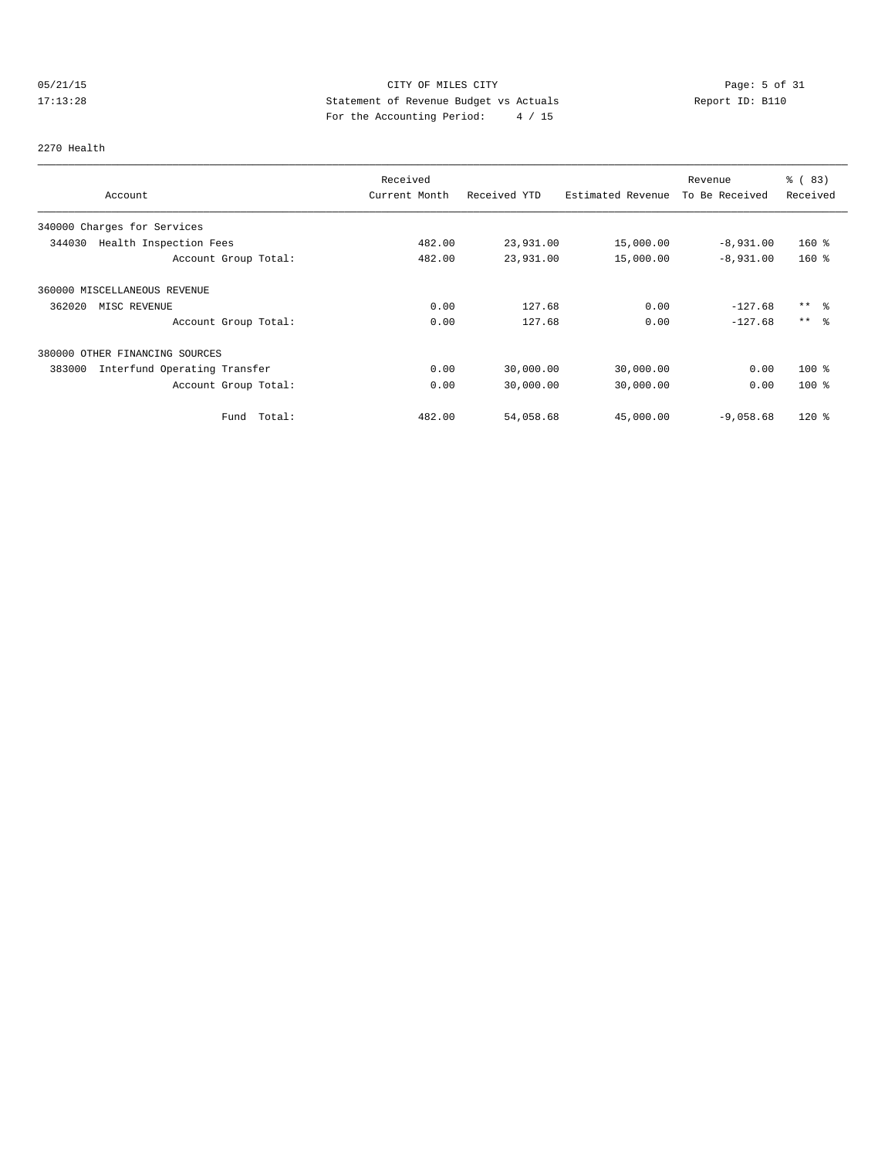## 05/21/15 CITY OF MILES CITY Page: 5 of 31 17:13:28 Statement of Revenue Budget vs Actuals Report ID: B110<br>Report ID: B110 For the Accounting Period: 4 / 15

#### 2270 Health

|                                        | Received      |              |                   | Revenue        | % (83)   |
|----------------------------------------|---------------|--------------|-------------------|----------------|----------|
| Account                                | Current Month | Received YTD | Estimated Revenue | To Be Received | Received |
| 340000 Charges for Services            |               |              |                   |                |          |
| 344030<br>Health Inspection Fees       | 482.00        | 23,931.00    | 15,000.00         | $-8,931.00$    | $160*$   |
| Account Group Total:                   | 482.00        | 23,931.00    | 15,000.00         | $-8,931.00$    | $160*$   |
| 360000 MISCELLANEOUS REVENUE           |               |              |                   |                |          |
| 362020<br>MISC REVENUE                 | 0.00          | 127.68       | 0.00              | $-127.68$      | $***$ %  |
| Account Group Total:                   | 0.00          | 127.68       | 0.00              | $-127.68$      | $***$ %  |
| 380000 OTHER FINANCING SOURCES         |               |              |                   |                |          |
| 383000<br>Interfund Operating Transfer | 0.00          | 30,000.00    | 30,000.00         | 0.00           | $100*$   |
| Account Group Total:                   | 0.00          | 30,000.00    | 30,000.00         | 0.00           | $100*$   |
| Total:<br>Fund                         | 482.00        | 54,058.68    | 45,000.00         | $-9,058.68$    | $120*$   |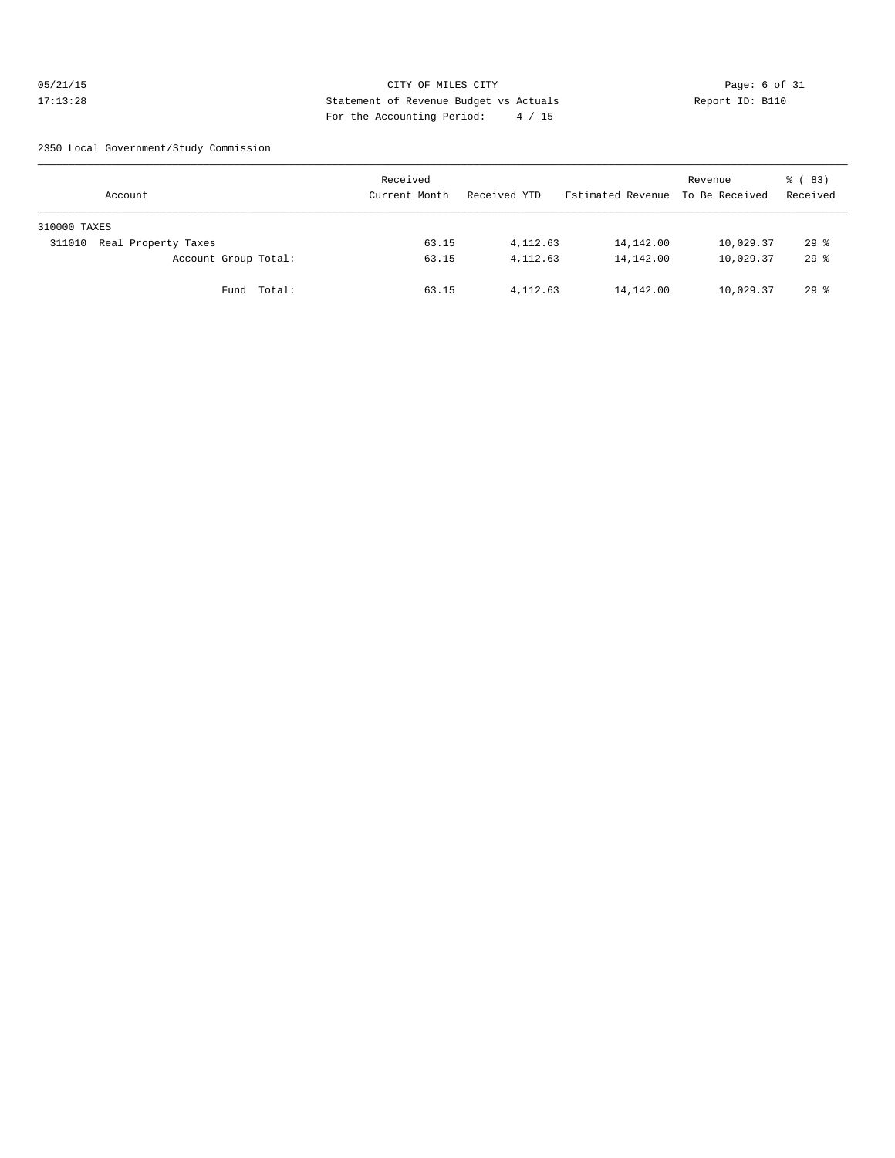## 05/21/15 CITY OF MILES CITY Page: 6 of 31 17:13:28 Statement of Revenue Budget vs Actuals Report ID: B110 For the Accounting Period: 4 / 15

2350 Local Government/Study Commission

| Account                       | Received<br>Current Month | Received YTD | Estimated Revenue To Be Received | Revenue   | % (83)<br>Received |
|-------------------------------|---------------------------|--------------|----------------------------------|-----------|--------------------|
| 310000 TAXES                  |                           |              |                                  |           |                    |
| Real Property Taxes<br>311010 | 63.15                     | 4, 112.63    | 14,142.00                        | 10,029.37 | 298                |
| Account Group Total:          | 63.15                     | 4, 112.63    | 14,142.00                        | 10,029.37 | 298                |
| Fund Total:                   | 63.15                     | 4, 112.63    | 14,142.00                        | 10,029.37 | 298                |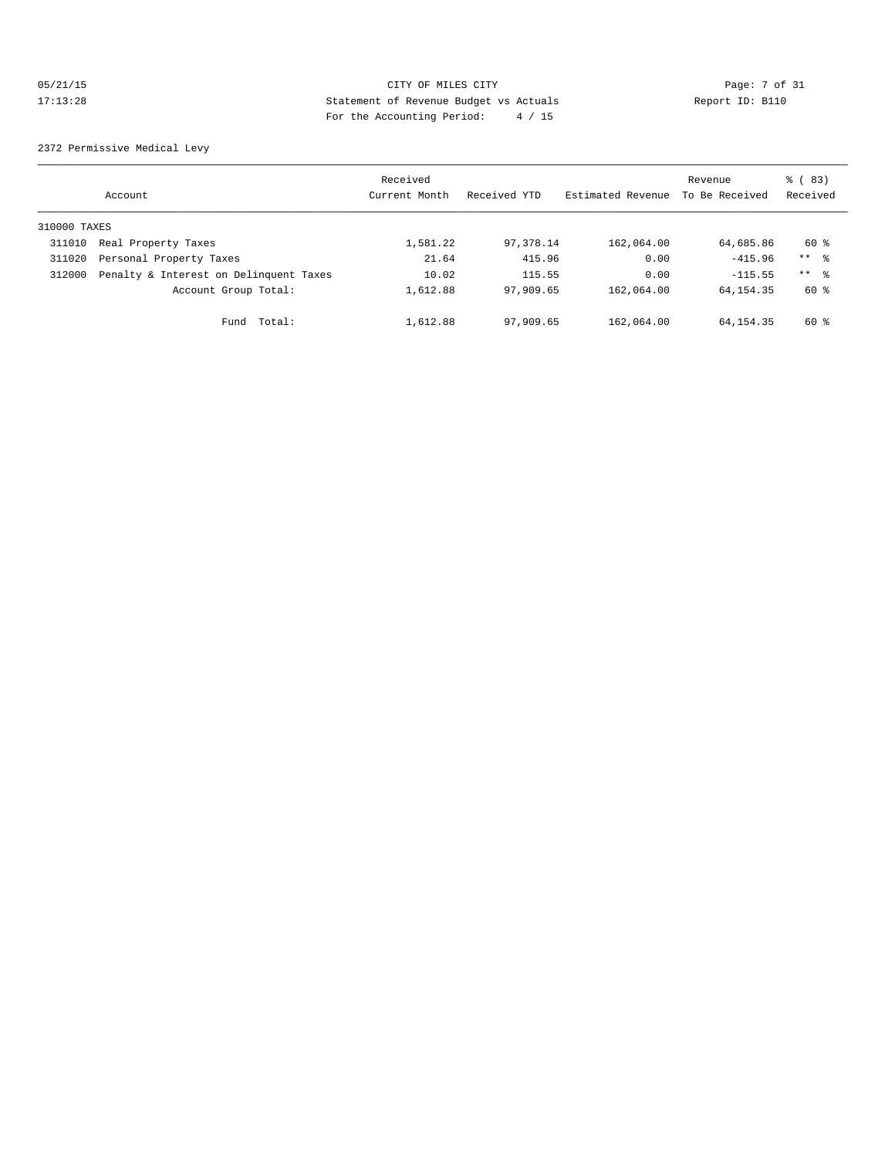## 05/21/15 CITY OF MILES CITY Page: 7 of 31 17:13:28 Statement of Revenue Budget vs Actuals Report ID: B110 For the Accounting Period: 4 / 15

2372 Permissive Medical Levy

|              | Account                                | Received<br>Current Month | Received YTD | Estimated Revenue | Revenue<br>To Be Received | % (83)<br>Received |
|--------------|----------------------------------------|---------------------------|--------------|-------------------|---------------------------|--------------------|
| 310000 TAXES |                                        |                           |              |                   |                           |                    |
| 311010       | Real Property Taxes                    | 1,581.22                  | 97,378.14    | 162,064.00        | 64,685.86                 | 60 %               |
| 311020       | Personal Property Taxes                | 21.64                     | 415.96       | 0.00              | $-415.96$                 | $***$ %            |
| 312000       | Penalty & Interest on Delinquent Taxes | 10.02                     | 115.55       | 0.00              | $-115.55$                 | $***$ 8            |
|              | Account Group Total:                   | 1,612.88                  | 97,909.65    | 162,064.00        | 64, 154, 35               | 60 %               |
|              | Fund Total:                            | 1,612.88                  | 97,909.65    | 162,064.00        | 64,154.35                 | 60 %               |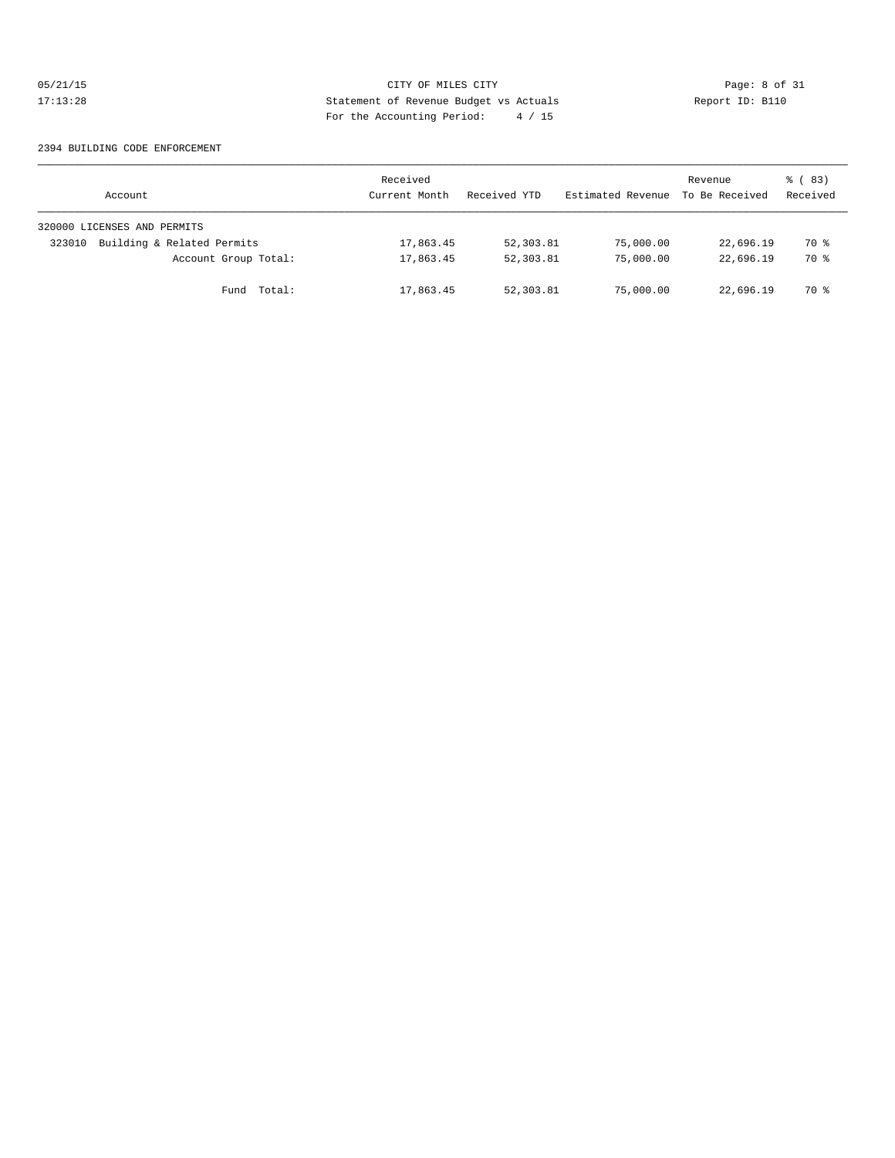## 05/21/15 CITY OF MILES CITY Page: 8 of 31<br>17:13:28 Statement of Revenue Budget vs Actuals Report ID: B110<br>Por the Accumular Deviced: A (ALE) 17:13:28 Statement of Revenue Budget vs Actuals Report ID: B110 For the Accounting Period: 4 / 15

#### 2394 BUILDING CODE ENFORCEMENT

| Account                              | Received<br>Current Month | Received YTD | Estimated Revenue | Revenue<br>To Be Received | % (83)<br>Received |
|--------------------------------------|---------------------------|--------------|-------------------|---------------------------|--------------------|
| 320000 LICENSES AND PERMITS          |                           |              |                   |                           |                    |
| Building & Related Permits<br>323010 | 17,863.45                 | 52,303.81    | 75,000.00         | 22,696.19                 | <b>70 응</b>        |
| Account Group Total:                 | 17,863.45                 | 52,303.81    | 75,000.00         | 22,696.19                 | 70 %               |
| Fund Total:                          | 17,863.45                 | 52,303.81    | 75,000.00         | 22,696.19                 | 70 %               |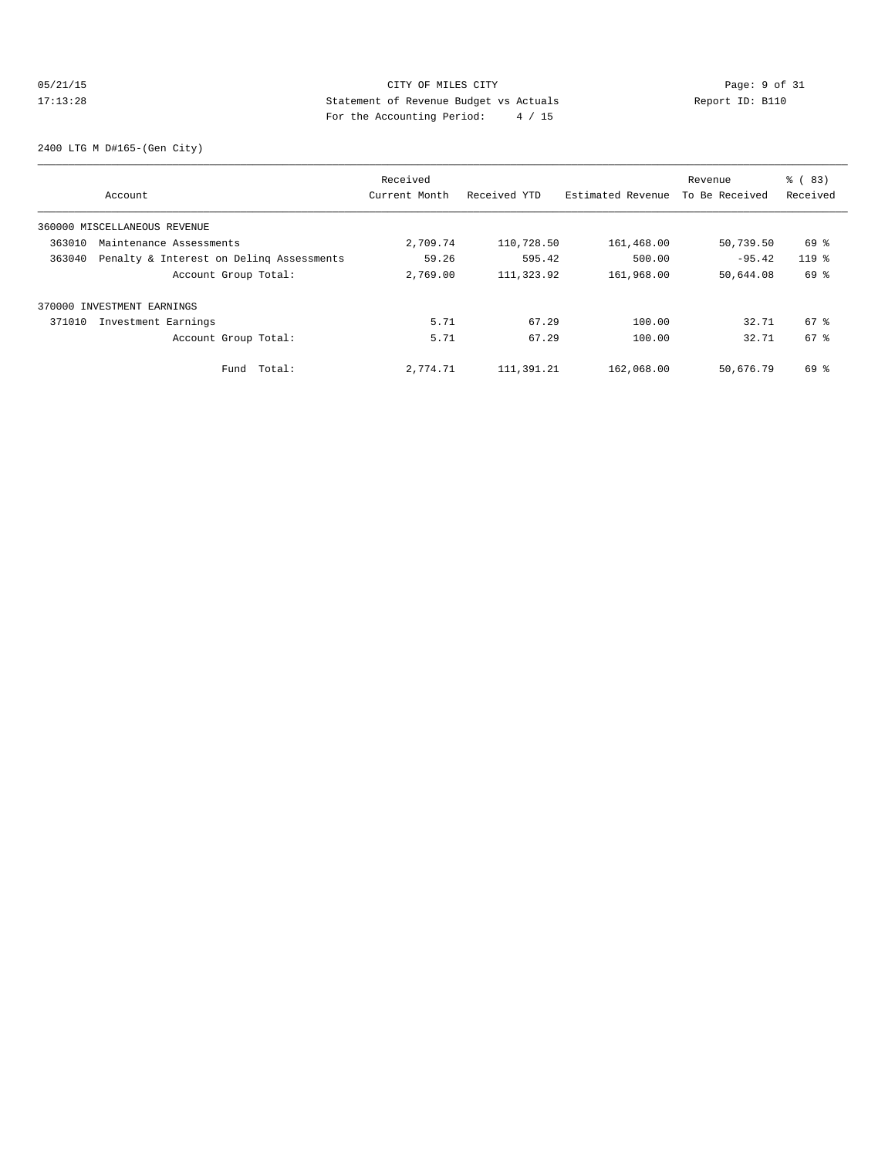## 05/21/15 CITY OF MILES CITY Page: 9 of 31<br>17:13:28 Statement of Revenue Budget vs Actuals Report ID: B110<br>Por the Accumular Device: A (ALE) Statement of Revenue Budget vs Actuals 17:13:28 Statement of Revenue Budget vs Actuals Report ID: B110 For the Accounting Period: 4 / 15

2400 LTG M D#165-(Gen City)

|        |                                          | Received      |              |                   |                | % (83)   |
|--------|------------------------------------------|---------------|--------------|-------------------|----------------|----------|
|        | Account                                  | Current Month | Received YTD | Estimated Revenue | To Be Received | Received |
|        | 360000 MISCELLANEOUS REVENUE             |               |              |                   |                |          |
| 363010 | Maintenance Assessments                  | 2,709.74      | 110,728.50   | 161,468.00        | 50,739.50      | 69 %     |
| 363040 | Penalty & Interest on Deling Assessments | 59.26         | 595.42       | 500.00            | $-95.42$       | $119*$   |
|        | Account Group Total:                     | 2,769.00      | 111,323.92   | 161,968.00        | 50,644.08      | 69 %     |
|        | 370000 INVESTMENT EARNINGS               |               |              |                   |                |          |
| 371010 | Investment Earnings                      | 5.71          | 67.29        | 100.00            | 32.71          | $67$ $%$ |
|        | Account Group Total:                     | 5.71          | 67.29        | 100.00            | 32.71          | 67 %     |
|        | Total:<br>Fund                           | 2,774.71      | 111,391.21   | 162,068.00        | 50,676.79      | 69 %     |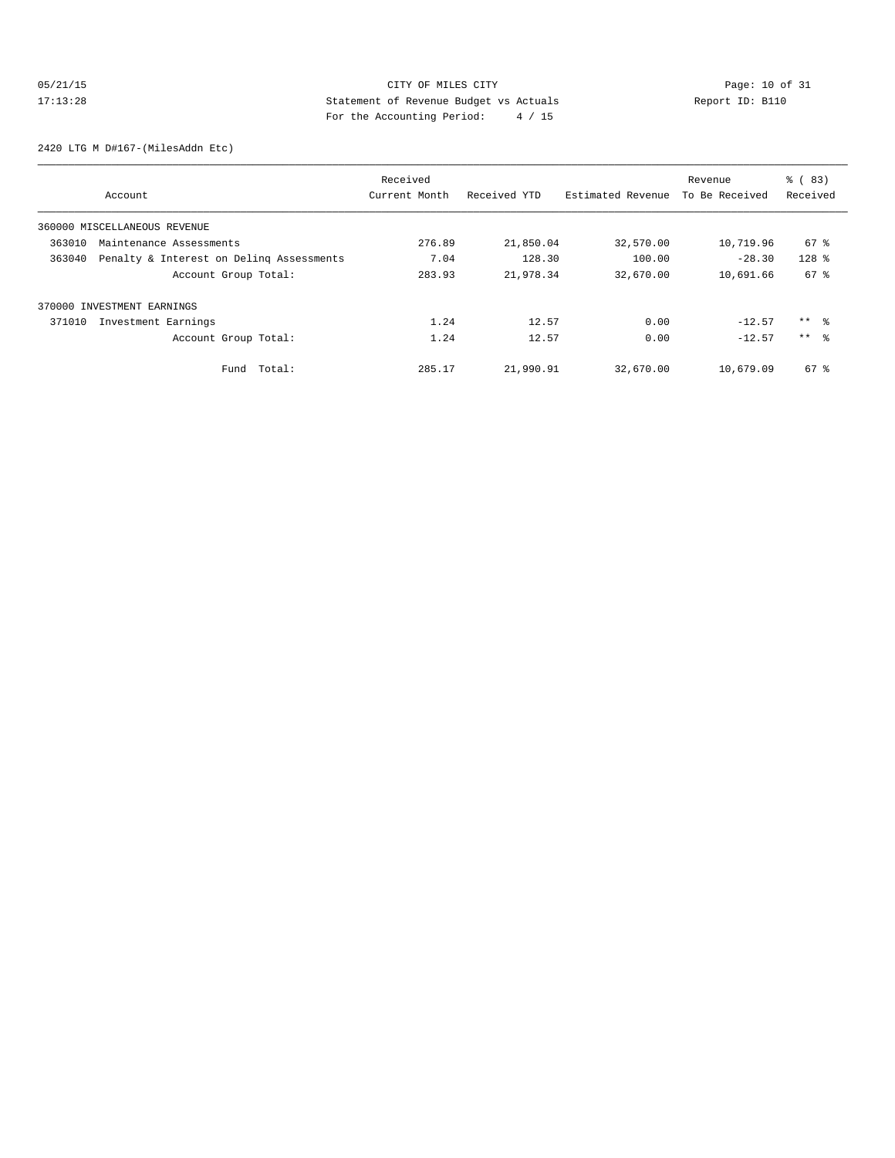## 05/21/15 Page: 10 of 31 17:13:28 Statement of Revenue Budget vs Actuals Report ID: B110<br>Text the Accounting Boxied: A / 15 For the Accounting Period: 4 / 15

2420 LTG M D#167-(MilesAddn Etc)

|        |                                          | Received      |              |                   | Revenue        | % (83)          |
|--------|------------------------------------------|---------------|--------------|-------------------|----------------|-----------------|
|        | Account                                  | Current Month | Received YTD | Estimated Revenue | To Be Received | Received        |
|        | 360000 MISCELLANEOUS REVENUE             |               |              |                   |                |                 |
| 363010 | Maintenance Assessments                  | 276.89        | 21,850.04    | 32,570.00         | 10,719.96      | $67$ $%$        |
| 363040 | Penalty & Interest on Deling Assessments | 7.04          | 128.30       | 100.00            | $-28.30$       | $128$ %         |
|        | Account Group Total:                     | 283.93        | 21,978.34    | 32,670.00         | 10,691.66      | 67 %            |
|        | 370000 INVESTMENT EARNINGS               |               |              |                   |                |                 |
| 371010 | Investment Earnings                      | 1.24          | 12.57        | 0.00              | $-12.57$       | $***$ $\approx$ |
|        | Account Group Total:                     | 1.24          | 12.57        | 0.00              | $-12.57$       | $***$ $\approx$ |
|        | Total:<br>Fund                           | 285.17        | 21,990.91    | 32,670.00         | 10,679.09      | 67 %            |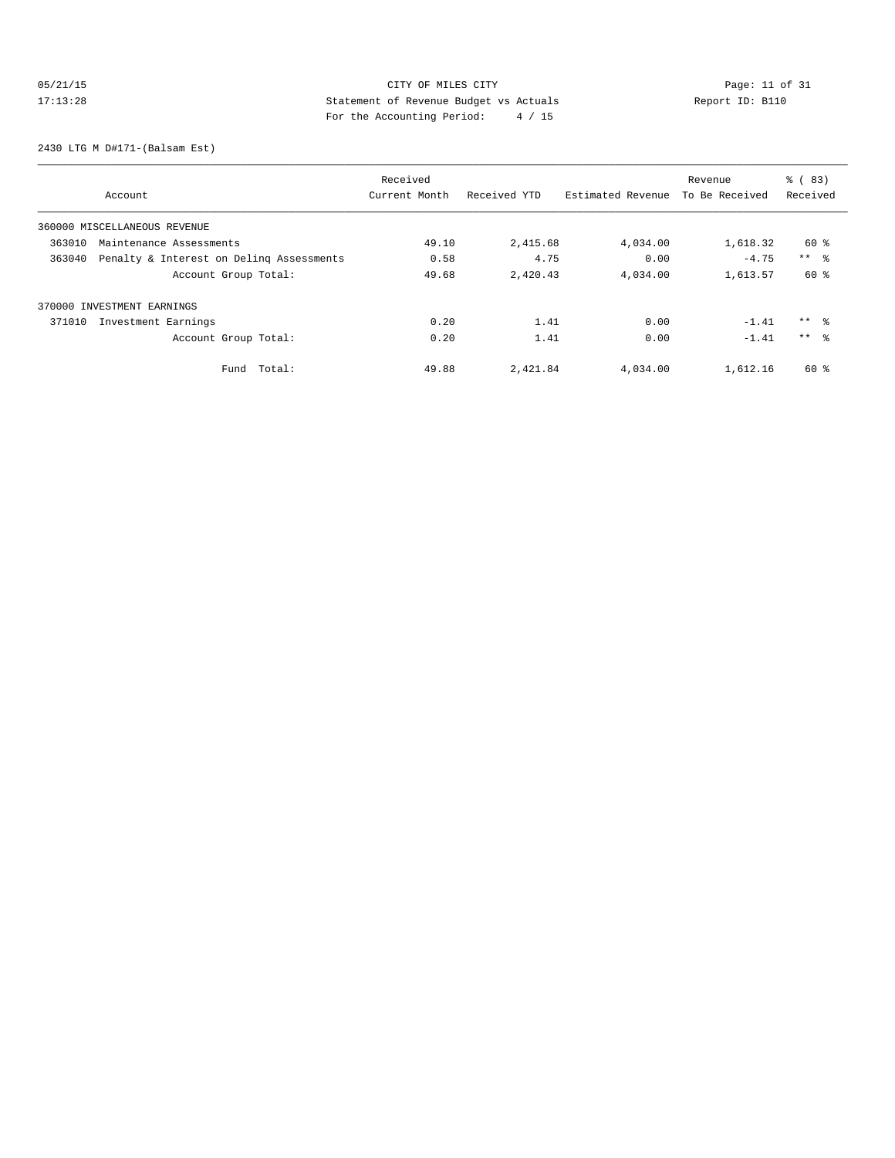# 05/21/15 Page: 11 of 31 17:13:28 Statement of Revenue Budget vs Actuals Report ID: B110<br>Text the Accounting Boxied: A / 15 For the Accounting Period: 4 / 15

2430 LTG M D#171-(Balsam Est)

|        |                                          | Received      |              |                   | Revenue        | % (83)          |
|--------|------------------------------------------|---------------|--------------|-------------------|----------------|-----------------|
|        | Account                                  | Current Month | Received YTD | Estimated Revenue | To Be Received | Received        |
|        | 360000 MISCELLANEOUS REVENUE             |               |              |                   |                |                 |
| 363010 | Maintenance Assessments                  | 49.10         | 2,415.68     | 4,034.00          | 1,618.32       | 60 %            |
| 363040 | Penalty & Interest on Deling Assessments | 0.58          | 4.75         | 0.00              | $-4.75$        | $***$ $\approx$ |
|        | Account Group Total:                     | 49.68         | 2,420.43     | 4,034.00          | 1,613.57       | 60 %            |
|        | 370000 INVESTMENT EARNINGS               |               |              |                   |                |                 |
| 371010 | Investment Earnings                      | 0.20          | 1.41         | 0.00              | $-1.41$        | $***$ %         |
|        | Account Group Total:                     | 0.20          | 1.41         | 0.00              | $-1.41$        | $***$ 8         |
|        | Total:<br>Fund                           | 49.88         | 2,421.84     | 4,034.00          | 1,612.16       | 60 %            |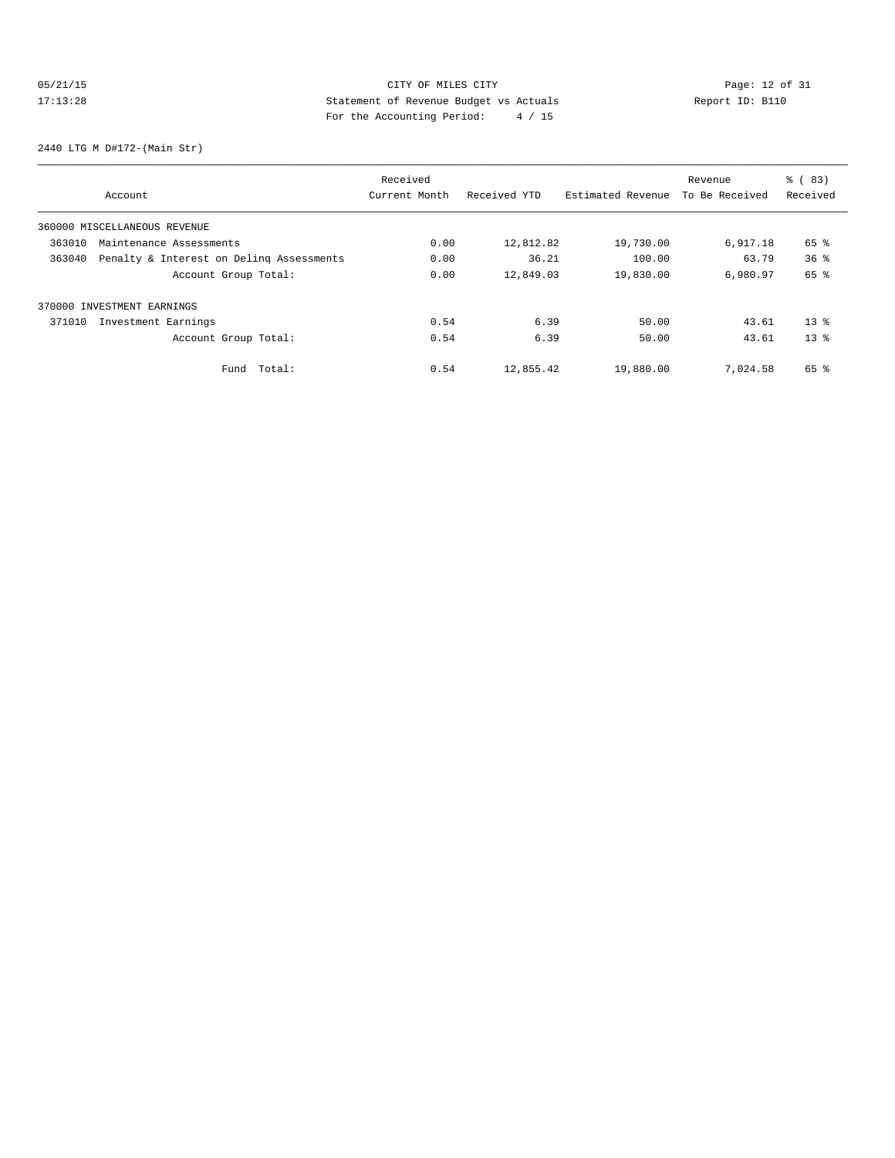# 05/21/15 Page: 12 of 31 17:13:28 Statement of Revenue Budget vs Actuals Report ID: B110<br>Report ID: B110 For the Accounting Period: 4 / 15

2440 LTG M D#172-(Main Str)

|                                                    | Received      |              |                   | Revenue        | % (83)          |
|----------------------------------------------------|---------------|--------------|-------------------|----------------|-----------------|
| Account                                            | Current Month | Received YTD | Estimated Revenue | To Be Received | Received        |
| 360000 MISCELLANEOUS REVENUE                       |               |              |                   |                |                 |
| 363010<br>Maintenance Assessments                  | 0.00          | 12,812.82    | 19,730.00         | 6,917.18       | 65 %            |
| 363040<br>Penalty & Interest on Deling Assessments | 0.00          | 36.21        | 100.00            | 63.79          | 36 <sup>8</sup> |
| Account Group Total:                               | 0.00          | 12,849.03    | 19,830.00         | 6,980.97       | 65 %            |
| 370000 INVESTMENT EARNINGS                         |               |              |                   |                |                 |
| 371010<br>Investment Earnings                      | 0.54          | 6.39         | 50.00             | 43.61          | $13*$           |
| Account Group Total:                               | 0.54          | 6.39         | 50.00             | 43.61          | $13*$           |
| Total:<br>Fund                                     | 0.54          | 12,855.42    | 19,880.00         | 7,024.58       | 65 %            |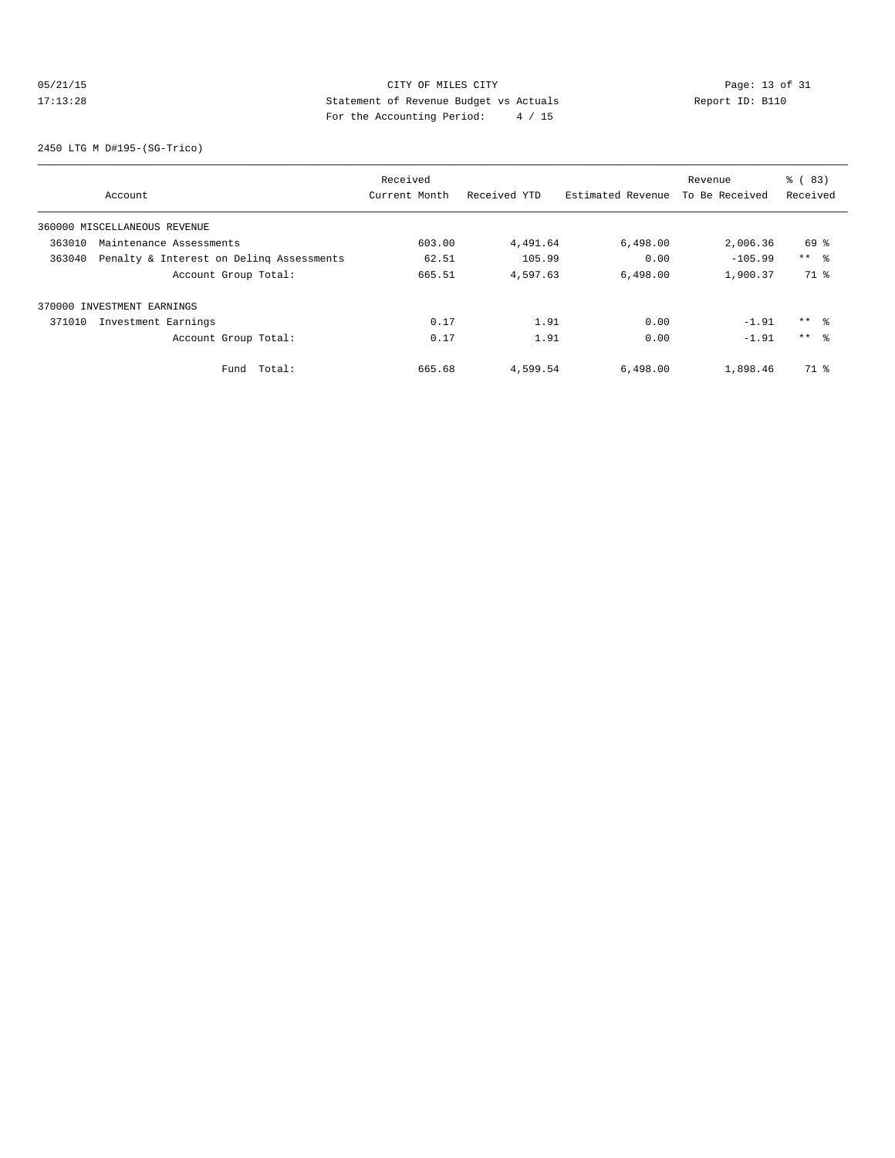## 05/21/15 Page: 13 of 31 17:13:28 Statement of Revenue Budget vs Actuals Report ID: B110 For the Accounting Period: 4 / 15

2450 LTG M D#195-(SG-Trico)

|        |                                          | Received      |              |                   | Revenue        | % (83)          |
|--------|------------------------------------------|---------------|--------------|-------------------|----------------|-----------------|
|        | Account                                  | Current Month | Received YTD | Estimated Revenue | To Be Received | Received        |
|        | 360000 MISCELLANEOUS REVENUE             |               |              |                   |                |                 |
| 363010 | Maintenance Assessments                  | 603.00        | 4,491.64     | 6,498.00          | 2,006.36       | 69 %            |
| 363040 | Penalty & Interest on Deling Assessments | 62.51         | 105.99       | 0.00              | $-105.99$      | $***$ $\approx$ |
|        | Account Group Total:                     | 665.51        | 4,597.63     | 6,498.00          | 1,900.37       | 71 %            |
|        | 370000 INVESTMENT EARNINGS               |               |              |                   |                |                 |
| 371010 | Investment Earnings                      | 0.17          | 1.91         | 0.00              | $-1.91$        | $***$ %         |
|        | Account Group Total:                     | 0.17          | 1.91         | 0.00              | $-1.91$        | $***$ 8         |
|        | Total:<br>Fund                           | 665.68        | 4,599.54     | 6,498.00          | 1,898.46       | 71 %            |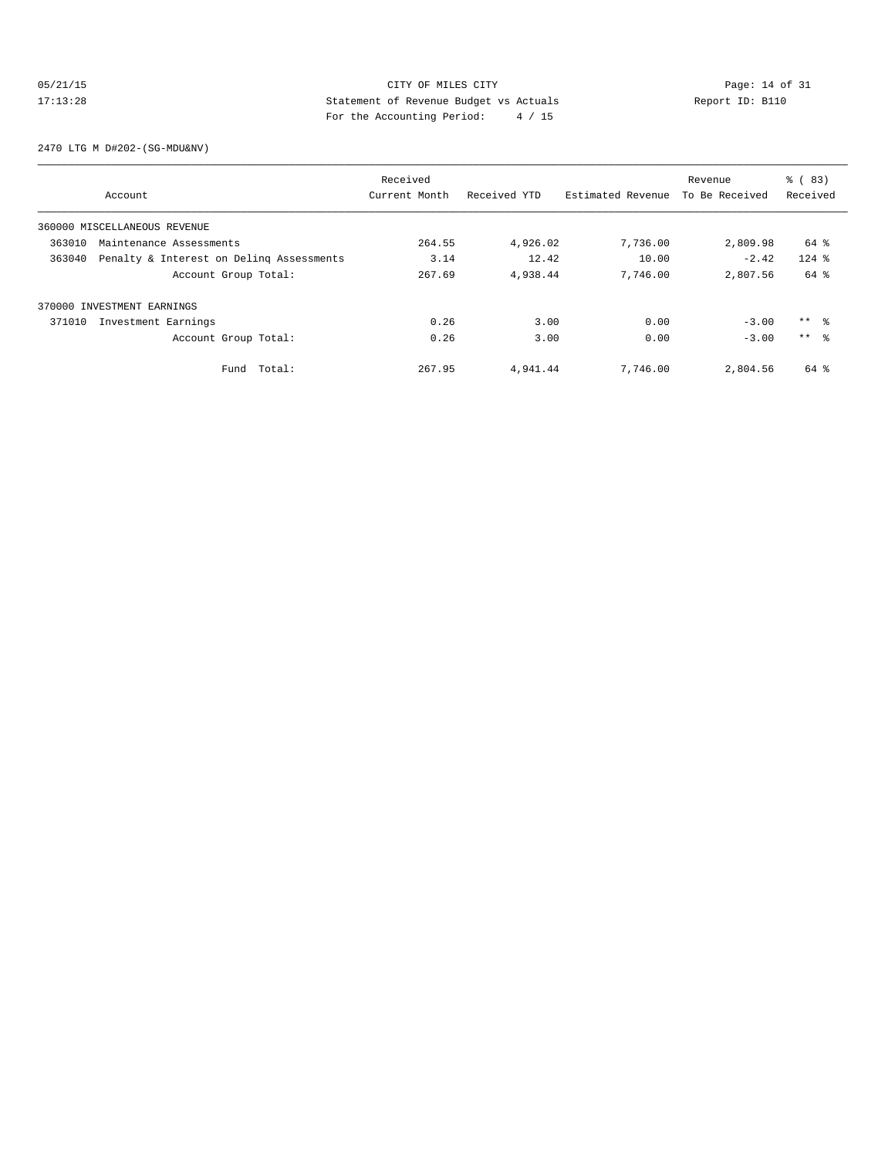## 05/21/15 Page: 14 of 31 17:13:28 Statement of Revenue Budget vs Actuals Report ID: B110<br>Report ID: B110 For the Accounting Period: 4 / 15

2470 LTG M D#202-(SG-MDU&NV)

|        |                                          | Received      |              |                   | Revenue        | % (83)     |
|--------|------------------------------------------|---------------|--------------|-------------------|----------------|------------|
|        | Account                                  | Current Month | Received YTD | Estimated Revenue | To Be Received | Received   |
|        | 360000 MISCELLANEOUS REVENUE             |               |              |                   |                |            |
| 363010 | Maintenance Assessments                  | 264.55        | 4,926.02     | 7,736.00          | 2,809.98       | 64 %       |
| 363040 | Penalty & Interest on Deling Assessments | 3.14          | 12.42        | 10.00             | $-2.42$        | $124$ %    |
|        | Account Group Total:                     | 267.69        | 4,938.44     | 7,746.00          | 2,807.56       | 64 %       |
|        | 370000 INVESTMENT EARNINGS               |               |              |                   |                |            |
| 371010 | Investment Earnings                      | 0.26          | 3.00         | 0.00              | $-3.00$        | $***$ $ -$ |
|        | Account Group Total:                     | 0.26          | 3.00         | 0.00              | $-3.00$        | $***$ 8    |
|        | Total:<br>Fund                           | 267.95        | 4,941.44     | 7,746.00          | 2,804.56       | 64 %       |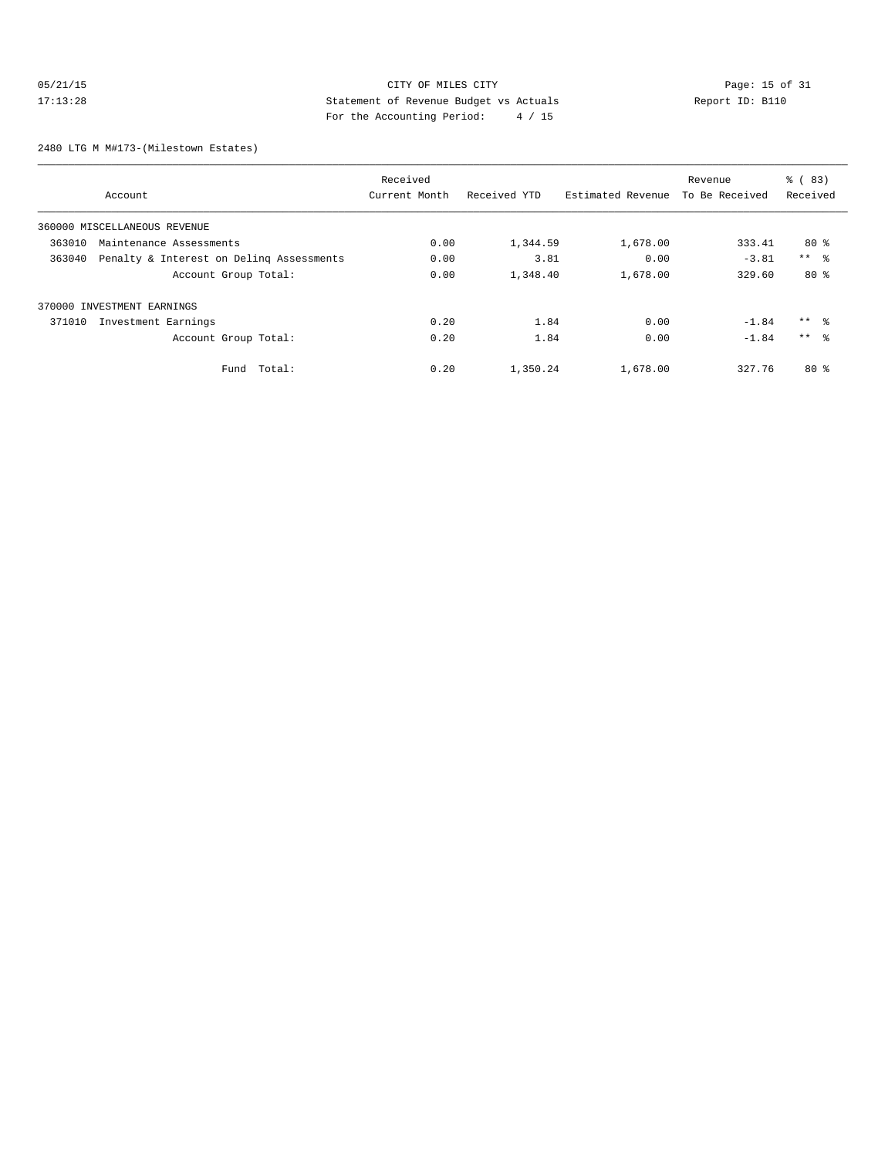## 05/21/15 CITY OF MILES CITY<br>17:13:28 Statement of Revenue Budget vs Actuals<br>17:13:28 Statement of Revenue Budget vs Actuals<br>17:13:28 Report ID: B110 17:13:28 Statement of Revenue Budget vs Actuals Report ID: B110 For the Accounting Period: 4 / 15

2480 LTG M M#173-(Milestown Estates)

|        |                                          | Received      |              |                   | Revenue        | % (83)              |
|--------|------------------------------------------|---------------|--------------|-------------------|----------------|---------------------|
|        | Account                                  | Current Month | Received YTD | Estimated Revenue | To Be Received | Received            |
|        | 360000 MISCELLANEOUS REVENUE             |               |              |                   |                |                     |
| 363010 | Maintenance Assessments                  | 0.00          | 1,344.59     | 1,678.00          | 333.41         | $80*$               |
| 363040 | Penalty & Interest on Deling Assessments | 0.00          | 3.81         | 0.00              | $-3.81$        | $***$ $\frac{6}{5}$ |
|        | Account Group Total:                     | 0.00          | 1,348.40     | 1,678.00          | 329.60         | $80*$               |
|        | 370000 INVESTMENT EARNINGS               |               |              |                   |                |                     |
| 371010 | Investment Earnings                      | 0.20          | 1.84         | 0.00              | $-1.84$        | $***$ $\approx$     |
|        | Account Group Total:                     | 0.20          | 1.84         | 0.00              | $-1.84$        | $***$ $\approx$     |
|        | Total:<br>Fund                           | 0.20          | 1,350.24     | 1,678.00          | 327.76         | $80*$               |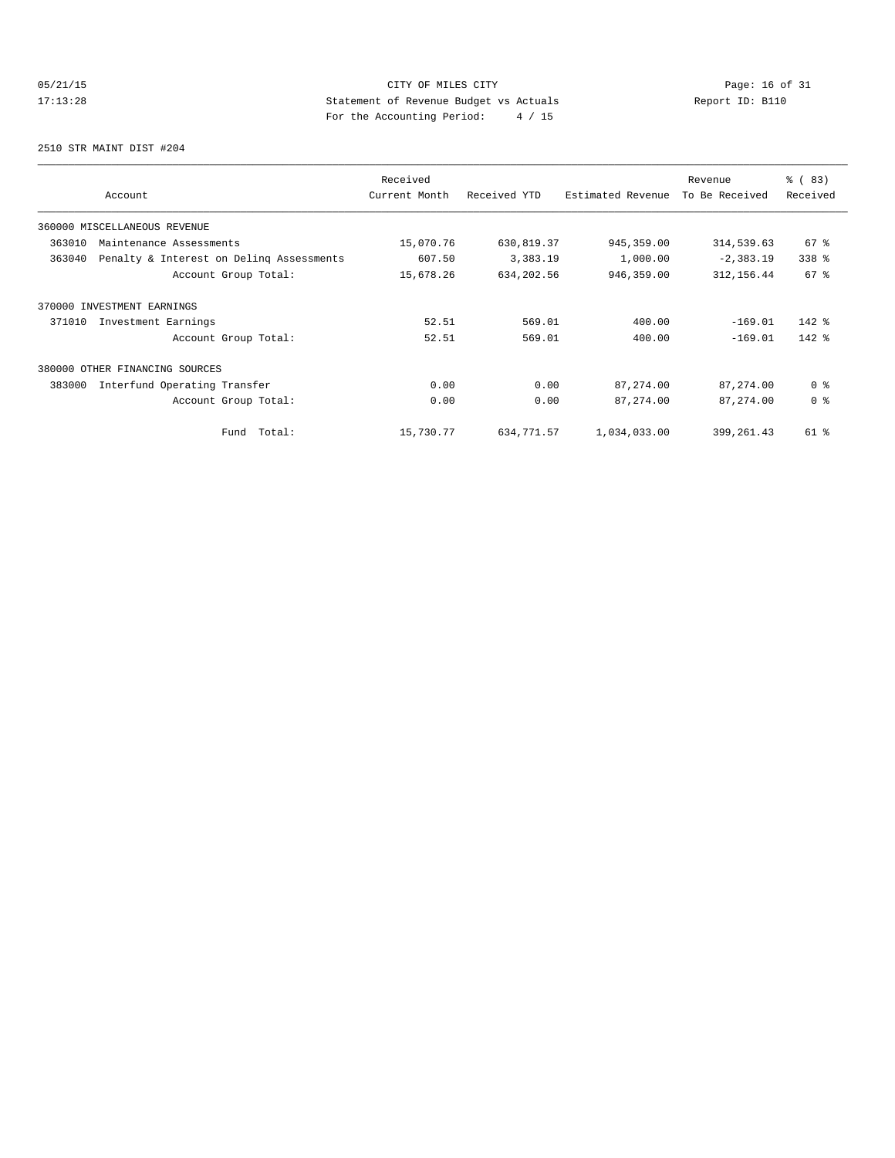## 05/21/15 Page: 16 of 31 17:13:28 Statement of Revenue Budget vs Actuals Report ID: B110<br>Report ID: B110 For the Accounting Period: 4 / 15

2510 STR MAINT DIST #204

| Account                                            | Received<br>Current Month | Received YTD | Estimated Revenue | Revenue<br>To Be Received | % (83)<br>Received |
|----------------------------------------------------|---------------------------|--------------|-------------------|---------------------------|--------------------|
| 360000 MISCELLANEOUS REVENUE                       |                           |              |                   |                           |                    |
| 363010<br>Maintenance Assessments                  | 15,070.76                 | 630,819.37   | 945, 359.00       | 314,539.63                | $67$ %             |
| 363040<br>Penalty & Interest on Deling Assessments | 607.50                    | 3,383.19     | 1,000.00          | $-2,383.19$               | 338 %              |
| Account Group Total:                               | 15,678.26                 | 634,202.56   | 946,359.00        | 312, 156.44               | 67 <sup>°</sup>    |
| 370000 INVESTMENT EARNINGS                         |                           |              |                   |                           |                    |
| Investment Earnings<br>371010                      | 52.51                     | 569.01       | 400.00            | $-169.01$                 | $142$ %            |
| Account Group Total:                               | 52.51                     | 569.01       | 400.00            | $-169.01$                 | $142$ %            |
| 380000<br>OTHER FINANCING SOURCES                  |                           |              |                   |                           |                    |
| 383000<br>Interfund Operating Transfer             | 0.00                      | 0.00         | 87,274.00         | 87, 274.00                | 0 <sup>8</sup>     |
| Account Group Total:                               | 0.00                      | 0.00         | 87, 274.00        | 87, 274.00                | 0 <sup>8</sup>     |
| Total:<br>Fund                                     | 15,730.77                 | 634,771.57   | 1,034,033.00      | 399, 261.43               | 61 %               |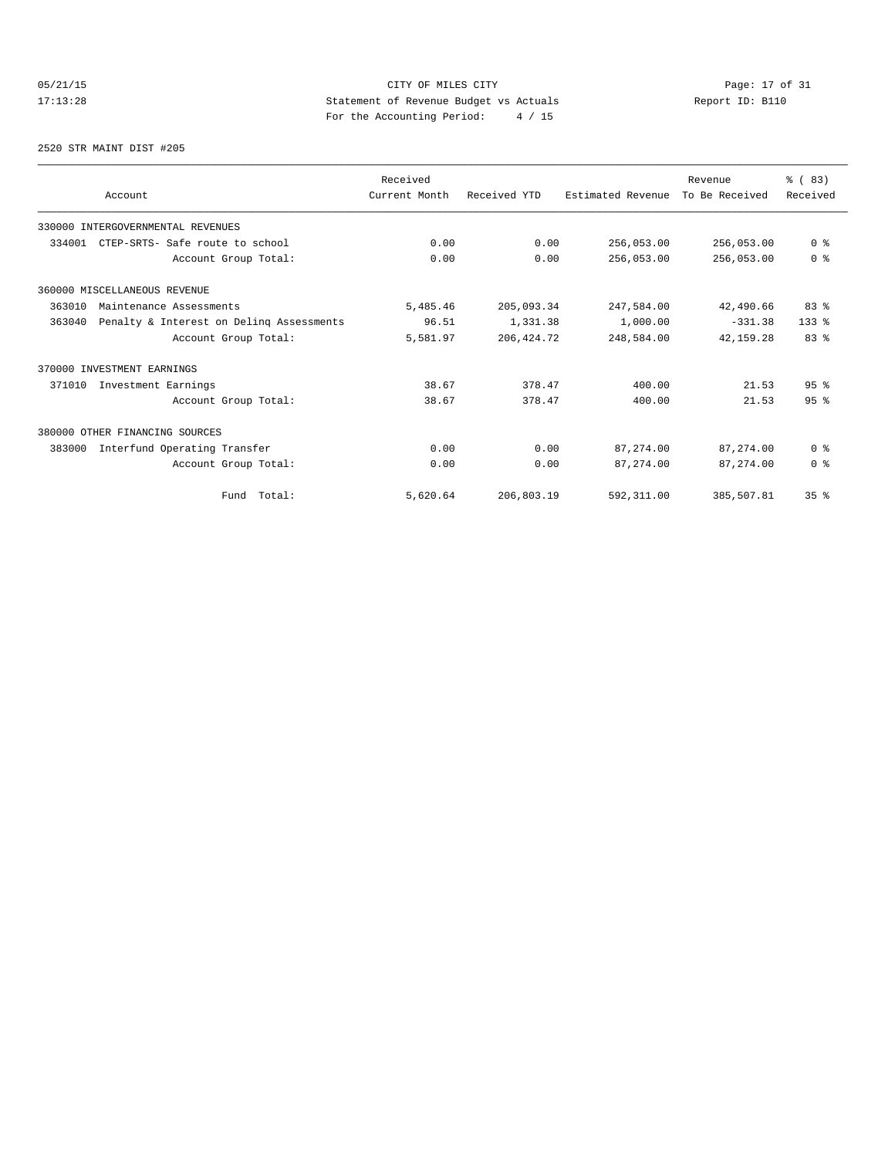## 05/21/15 Page: 17 of 31 17:13:28 Statement of Revenue Budget vs Actuals Report ID: B110<br>Text the Accounting Boxied: A / 15 For the Accounting Period: 4 / 15

#### 2520 STR MAINT DIST #205

|        |                                          | Received      |              |                   | Revenue        | % (83)          |
|--------|------------------------------------------|---------------|--------------|-------------------|----------------|-----------------|
|        | Account                                  | Current Month | Received YTD | Estimated Revenue | To Be Received | Received        |
|        | 330000 INTERGOVERNMENTAL REVENUES        |               |              |                   |                |                 |
| 334001 | CTEP-SRTS- Safe route to school          | 0.00          | 0.00         | 256,053.00        | 256,053.00     | 0 <sup>8</sup>  |
|        | Account Group Total:                     | 0.00          | 0.00         | 256,053.00        | 256,053.00     | 0 <sup>8</sup>  |
|        | 360000 MISCELLANEOUS REVENUE             |               |              |                   |                |                 |
| 363010 | Maintenance Assessments                  | 5,485.46      | 205,093.34   | 247,584.00        | 42,490.66      | 83 %            |
| 363040 | Penalty & Interest on Deling Assessments | 96.51         | 1,331.38     | 1,000.00          | $-331.38$      | $133*$          |
|        | Account Group Total:                     | 5,581.97      | 206, 424.72  | 248,584.00        | 42, 159, 28    | 83%             |
|        | 370000 INVESTMENT EARNINGS               |               |              |                   |                |                 |
| 371010 | Investment Earnings                      | 38.67         | 378.47       | 400.00            | 21.53          | 95%             |
|        | Account Group Total:                     | 38.67         | 378.47       | 400.00            | 21.53          | 95%             |
|        | 380000 OTHER FINANCING SOURCES           |               |              |                   |                |                 |
| 383000 | Interfund Operating Transfer             | 0.00          | 0.00         | 87,274.00         | 87,274.00      | 0 <sup>8</sup>  |
|        | Account Group Total:                     | 0.00          | 0.00         | 87, 274, 00       | 87, 274, 00    | 0 <sup>8</sup>  |
|        | Fund Total:                              | 5,620.64      | 206,803.19   | 592, 311.00       | 385,507.81     | 35 <sup>8</sup> |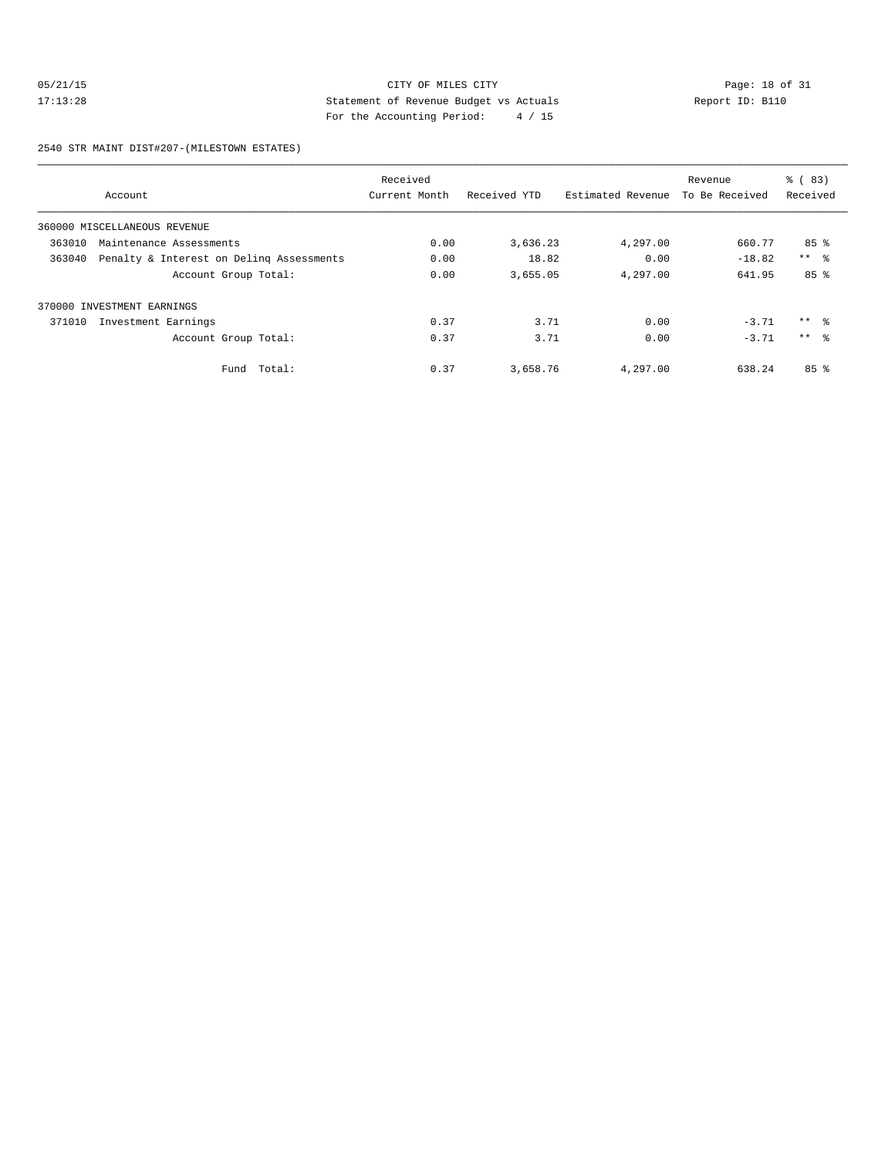## 05/21/15 CITY OF MILES CITY<br>17:13:28 Statement of Revenue Budget vs Actuals<br>17:13:28 Persite Page: 18 of 31<br>For the Pagestary Page: 14 (15 17:13:28 Statement of Revenue Budget vs Actuals Report ID: B110 For the Accounting Period: 4 / 15

2540 STR MAINT DIST#207-(MILESTOWN ESTATES)

|        |                                          | Received      |              |                   | Revenue        | % (83)          |
|--------|------------------------------------------|---------------|--------------|-------------------|----------------|-----------------|
|        | Account                                  | Current Month | Received YTD | Estimated Revenue | To Be Received | Received        |
|        | 360000 MISCELLANEOUS REVENUE             |               |              |                   |                |                 |
| 363010 | Maintenance Assessments                  | 0.00          | 3,636.23     | 4,297.00          | 660.77         | 85%             |
| 363040 | Penalty & Interest on Deling Assessments | 0.00          | 18.82        | 0.00              | $-18.82$       | $***$ $ -$      |
|        | Account Group Total:                     | 0.00          | 3,655.05     | 4,297.00          | 641.95         | 85 <sup>8</sup> |
|        | 370000 INVESTMENT EARNINGS               |               |              |                   |                |                 |
| 371010 | Investment Earnings                      | 0.37          | 3.71         | 0.00              | $-3.71$        | $***$ 8         |
|        | Account Group Total:                     | 0.37          | 3.71         | 0.00              | $-3.71$        | $***$ $\approx$ |
|        | Fund Total:                              | 0.37          | 3,658.76     | 4,297.00          | 638.24         | 85 <sup>8</sup> |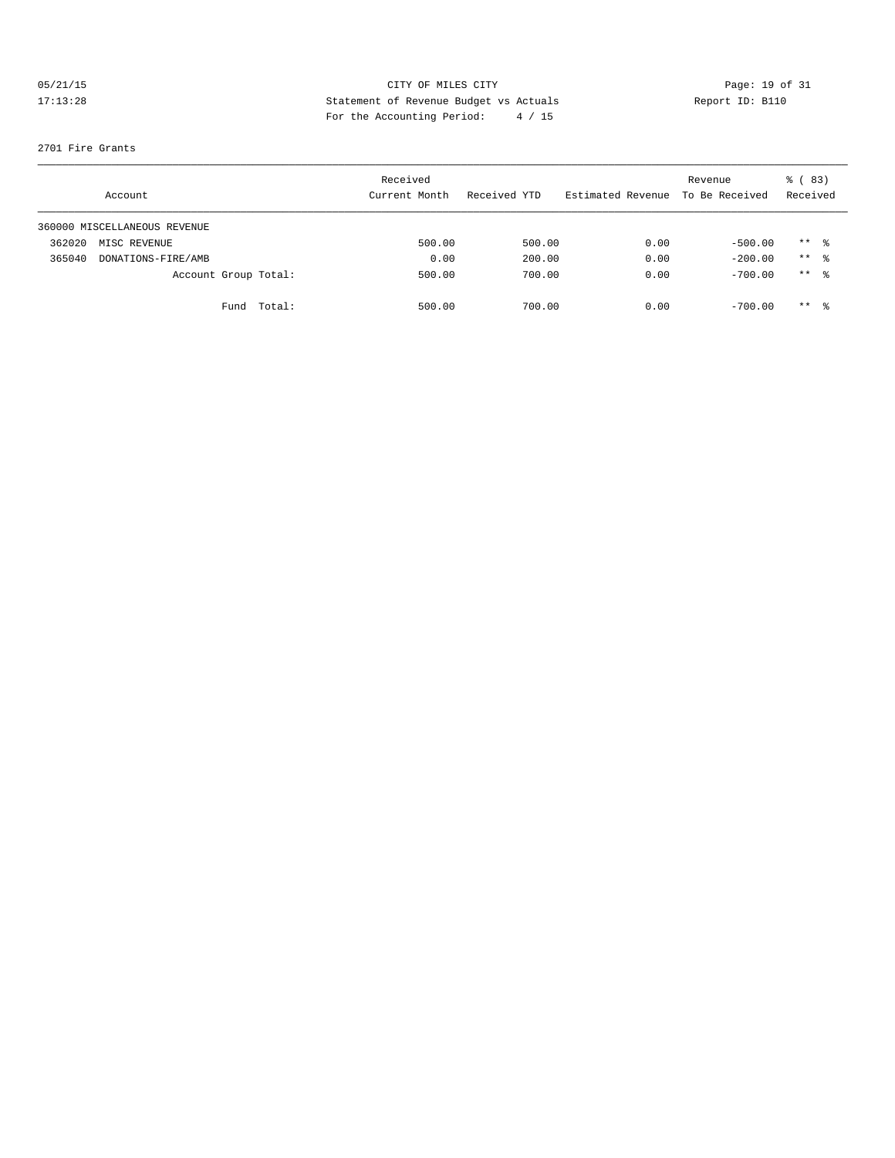# 05/21/15 CITY OF MILES CITY CHE CITY Page: 19 of 31<br>17:13:28 Statement of Revenue Budget vs Actuals Report ID: B110<br>17:13:28 Part the Accounting Partiel (15 17:13:28 Statement of Revenue Budget vs Actuals Report ID: B110 For the Accounting Period: 4 / 15

#### 2701 Fire Grants

|        | Account                      |                      | Received<br>Current Month | Received YTD | Estimated Revenue | Revenue<br>To Be Received | <sub>ර</sub> ි (83)<br>Received |  |
|--------|------------------------------|----------------------|---------------------------|--------------|-------------------|---------------------------|---------------------------------|--|
|        | 360000 MISCELLANEOUS REVENUE |                      |                           |              |                   |                           |                                 |  |
| 362020 | MISC REVENUE                 |                      | 500.00                    | 500.00       | 0.00              | $-500.00$                 | $***$ $\frac{6}{3}$             |  |
| 365040 | DONATIONS-FIRE/AMB           |                      | 0.00                      | 200.00       | 0.00              | $-200.00$                 | $***$ 8                         |  |
|        |                              | Account Group Total: | 500.00                    | 700.00       | 0.00              | $-700.00$                 | ** 응                            |  |
|        |                              | Total:<br>Fund       | 500.00                    | 700.00       | 0.00              | $-700.00$                 | $***$ 8                         |  |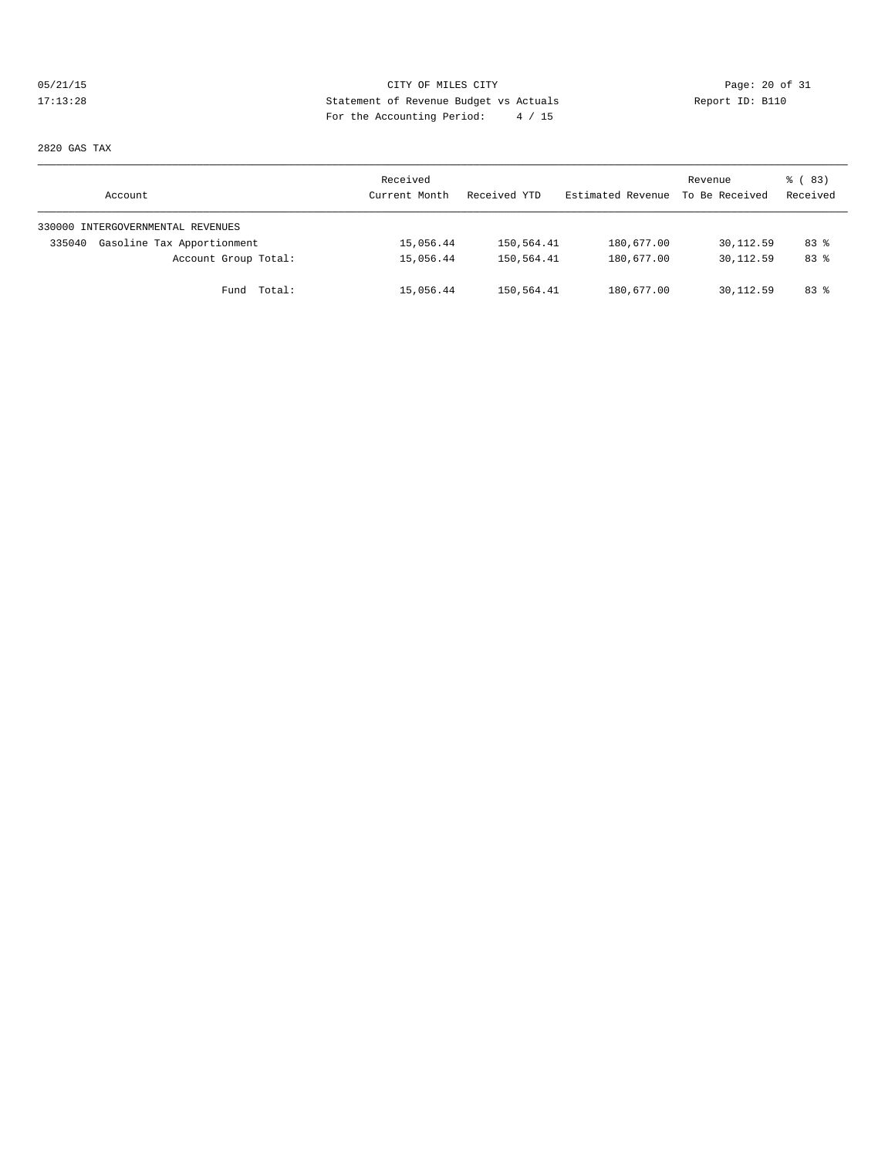# 05/21/15 Page: 20 of 31 17:13:28 Statement of Revenue Budget vs Actuals Report ID: B110 For the Accounting Period: 4 / 15

2820 GAS TAX

| Account                              | Received<br>Current Month | Received YTD | Estimated Revenue | Revenue<br>To Be Received | % (83)<br>Received |
|--------------------------------------|---------------------------|--------------|-------------------|---------------------------|--------------------|
| 330000 INTERGOVERNMENTAL REVENUES    |                           |              |                   |                           |                    |
| Gasoline Tax Apportionment<br>335040 | 15,056.44                 | 150,564.41   | 180,677.00        | 30,112.59                 | 83%                |
| Account Group Total:                 | 15,056.44                 | 150,564.41   | 180,677.00        | 30,112.59                 | 83%                |
| Fund Total:                          | 15,056.44                 | 150,564.41   | 180,677.00        | 30,112.59                 | 83%                |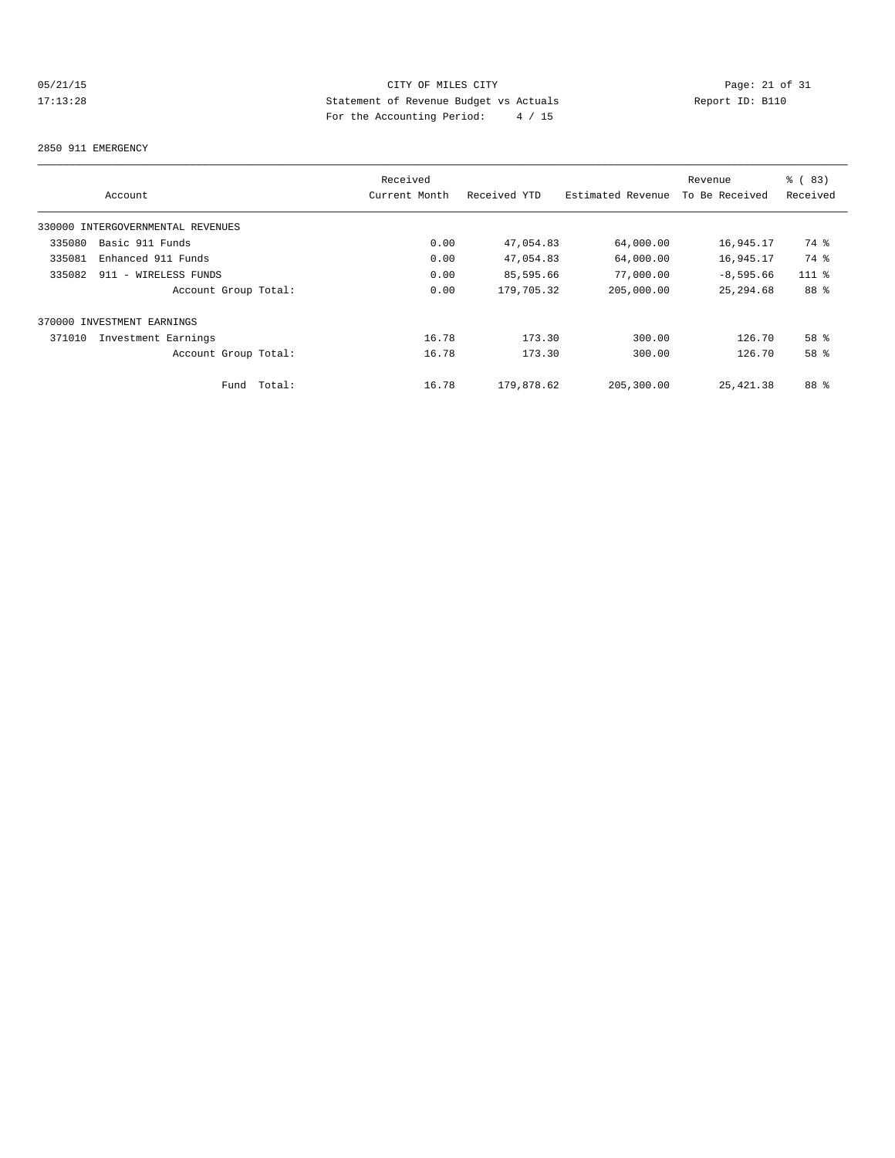## 05/21/15 Page: 21 of 31 17:13:28 Statement of Revenue Budget vs Actuals Report ID: B110 For the Accounting Period: 4 / 15

#### 2850 911 EMERGENCY

|                                   |        | Received      |              |                   | Revenue        | % (83)          |
|-----------------------------------|--------|---------------|--------------|-------------------|----------------|-----------------|
| Account                           |        | Current Month | Received YTD | Estimated Revenue | To Be Received | Received        |
| 330000 INTERGOVERNMENTAL REVENUES |        |               |              |                   |                |                 |
| Basic 911 Funds<br>335080         |        | 0.00          | 47,054.83    | 64,000.00         | 16,945.17      | 74 %            |
| 335081<br>Enhanced 911 Funds      |        | 0.00          | 47,054.83    | 64,000.00         | 16,945.17      | 74 %            |
| 335082<br>911 - WIRELESS FUNDS    |        | 0.00          | 85,595.66    | 77,000.00         | $-8,595.66$    | $111*$          |
| Account Group Total:              |        | 0.00          | 179,705.32   | 205,000.00        | 25, 294.68     | 88 %            |
| 370000 INVESTMENT EARNINGS        |        |               |              |                   |                |                 |
| 371010<br>Investment Earnings     |        | 16.78         | 173.30       | 300.00            | 126.70         | 58 <sup>8</sup> |
| Account Group Total:              |        | 16.78         | 173.30       | 300.00            | 126.70         | 58 %            |
| Fund                              | Total: | 16.78         | 179,878.62   | 205,300.00        | 25, 421.38     | 88 %            |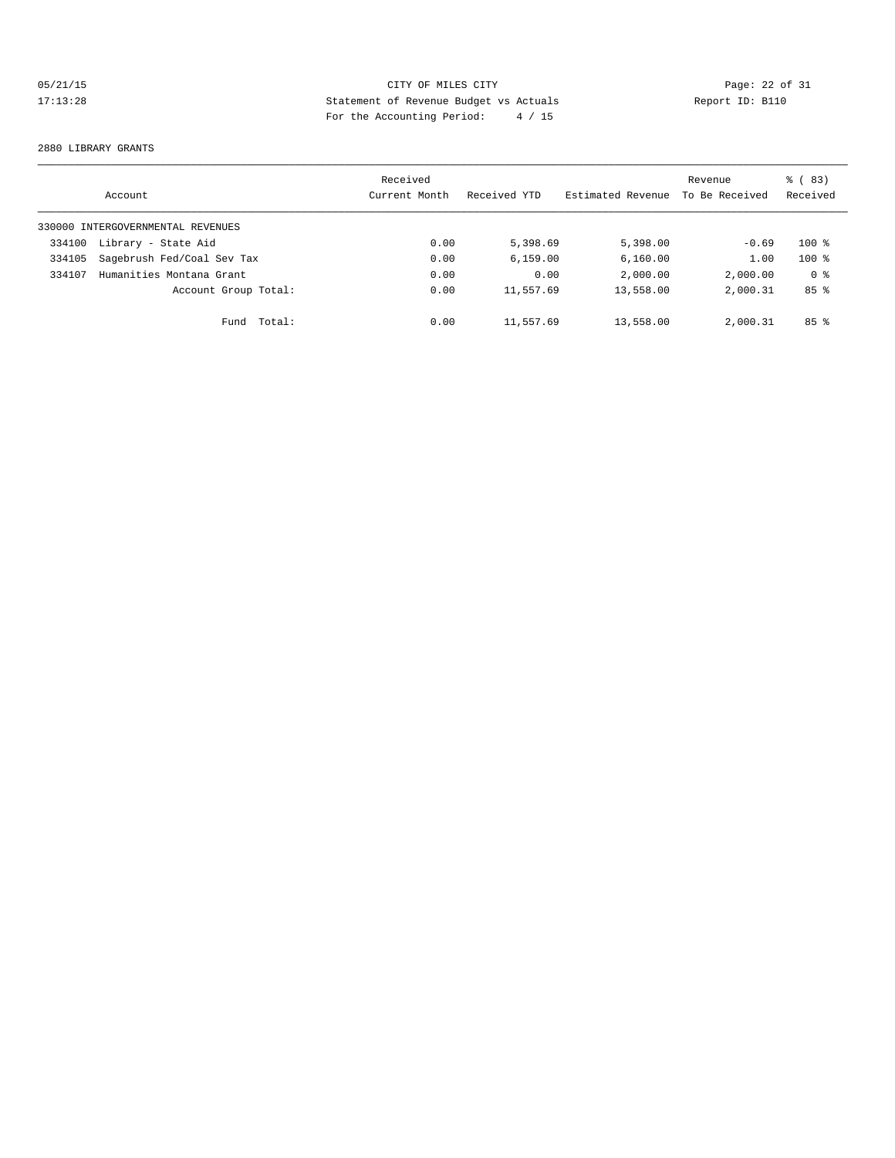# 05/21/15 CITY OF MILES CITY CHE CITY Page: 22 of 31<br>17:13:28 Statement of Revenue Budget vs Actuals Report ID: B110<br>For the Accounting Poriod: 4 / 15 17:13:28 Statement of Revenue Budget vs Actuals Report ID: B110 For the Accounting Period: 4 / 15

#### 2880 LIBRARY GRANTS

|        | Account                           | Received<br>Current Month | Received YTD | Estimated Revenue | Revenue<br>To Be Received | $\frac{8}{6}$ (83)<br>Received |
|--------|-----------------------------------|---------------------------|--------------|-------------------|---------------------------|--------------------------------|
|        | 330000 INTERGOVERNMENTAL REVENUES |                           |              |                   |                           |                                |
| 334100 | Library - State Aid               | 0.00                      | 5,398.69     | 5,398.00          | $-0.69$                   | $100*$                         |
| 334105 | Sagebrush Fed/Coal Sev Tax        | 0.00                      | 6, 159.00    | 6,160.00          | 1.00                      | $100*$                         |
| 334107 | Humanities Montana Grant          | 0.00                      | 0.00         | 2,000.00          | 2,000.00                  | 0 <sup>8</sup>                 |
|        | Account Group Total:              | 0.00                      | 11,557.69    | 13,558.00         | 2,000.31                  | 85 <sup>8</sup>                |
|        | Fund                              | Total:<br>0.00            | 11,557.69    | 13,558.00         | 2,000.31                  | 85 <sup>8</sup>                |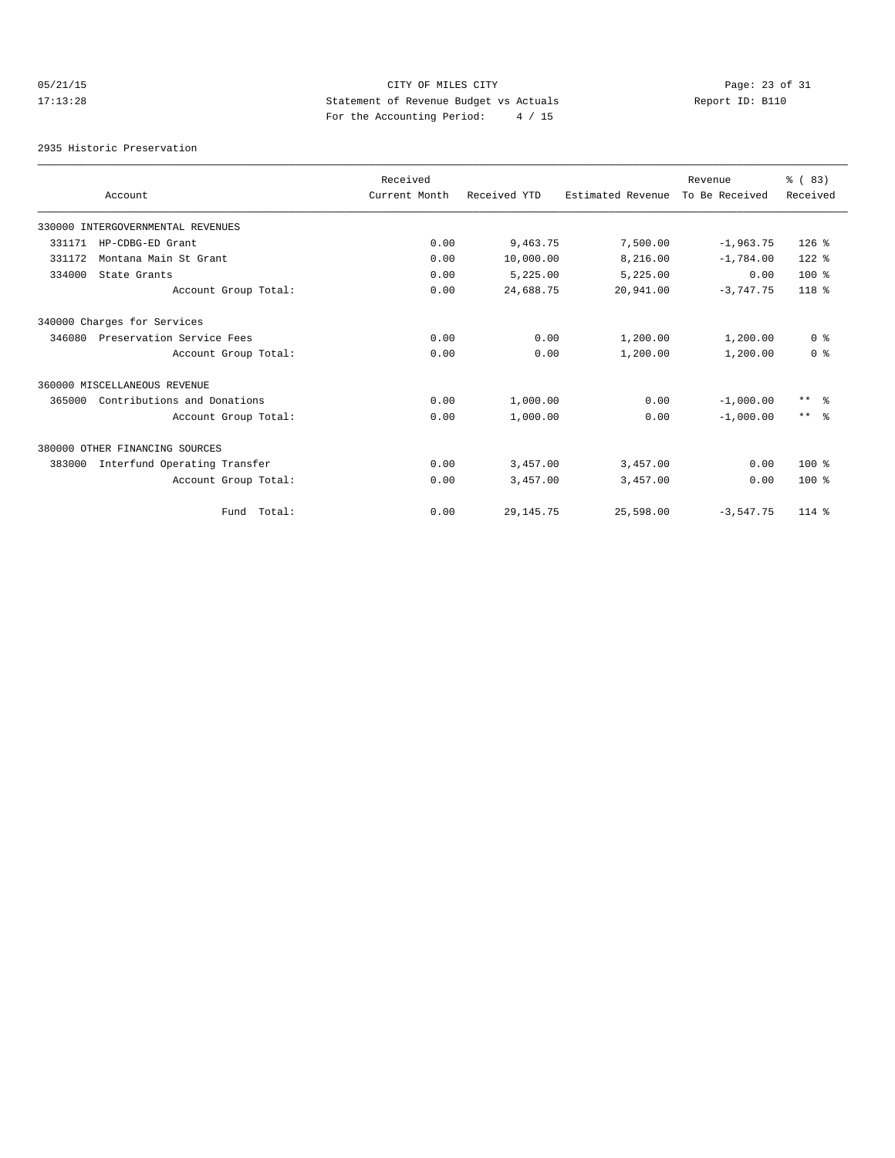# 05/21/15 Page: 23 of 31 17:13:28 Statement of Revenue Budget vs Actuals Report ID: B110 For the Accounting Period: 4 / 15

2935 Historic Preservation

|        |                                   | Received      |              |                   | Revenue        | % (83)            |
|--------|-----------------------------------|---------------|--------------|-------------------|----------------|-------------------|
|        | Account                           | Current Month | Received YTD | Estimated Revenue | To Be Received | Received          |
|        | 330000 INTERGOVERNMENTAL REVENUES |               |              |                   |                |                   |
| 331171 | HP-CDBG-ED Grant                  | 0.00          | 9,463.75     | 7,500.00          | $-1,963.75$    | $126$ %           |
| 331172 | Montana Main St Grant             | 0.00          | 10,000.00    | 8,216.00          | $-1,784.00$    | $122$ %           |
| 334000 | State Grants                      | 0.00          | 5,225.00     | 5,225.00          | 0.00           | $100*$            |
|        | Account Group Total:              | 0.00          | 24,688.75    | 20,941.00         | $-3,747.75$    | $118*$            |
|        | 340000 Charges for Services       |               |              |                   |                |                   |
| 346080 | Preservation Service Fees         | 0.00          | 0.00         | 1,200.00          | 1,200.00       | 0 <sup>8</sup>    |
|        | Account Group Total:              | 0.00          | 0.00         | 1,200.00          | 1,200.00       | 0 <sup>8</sup>    |
|        | 360000 MISCELLANEOUS REVENUE      |               |              |                   |                |                   |
| 365000 | Contributions and Donations       | 0.00          | 1,000.00     | 0.00              | $-1,000.00$    | $\star\star$<br>း |
|        | Account Group Total:              | 0.00          | 1,000.00     | 0.00              | $-1,000.00$    | $***$ $\approx$   |
|        | 380000 OTHER FINANCING SOURCES    |               |              |                   |                |                   |
| 383000 | Interfund Operating Transfer      | 0.00          | 3,457.00     | 3,457.00          | 0.00           | $100*$            |
|        | Account Group Total:              | 0.00          | 3,457.00     | 3,457.00          | 0.00           | $100*$            |
|        | Fund Total:                       | 0.00          | 29, 145. 75  | 25,598.00         | $-3,547.75$    | $114*$            |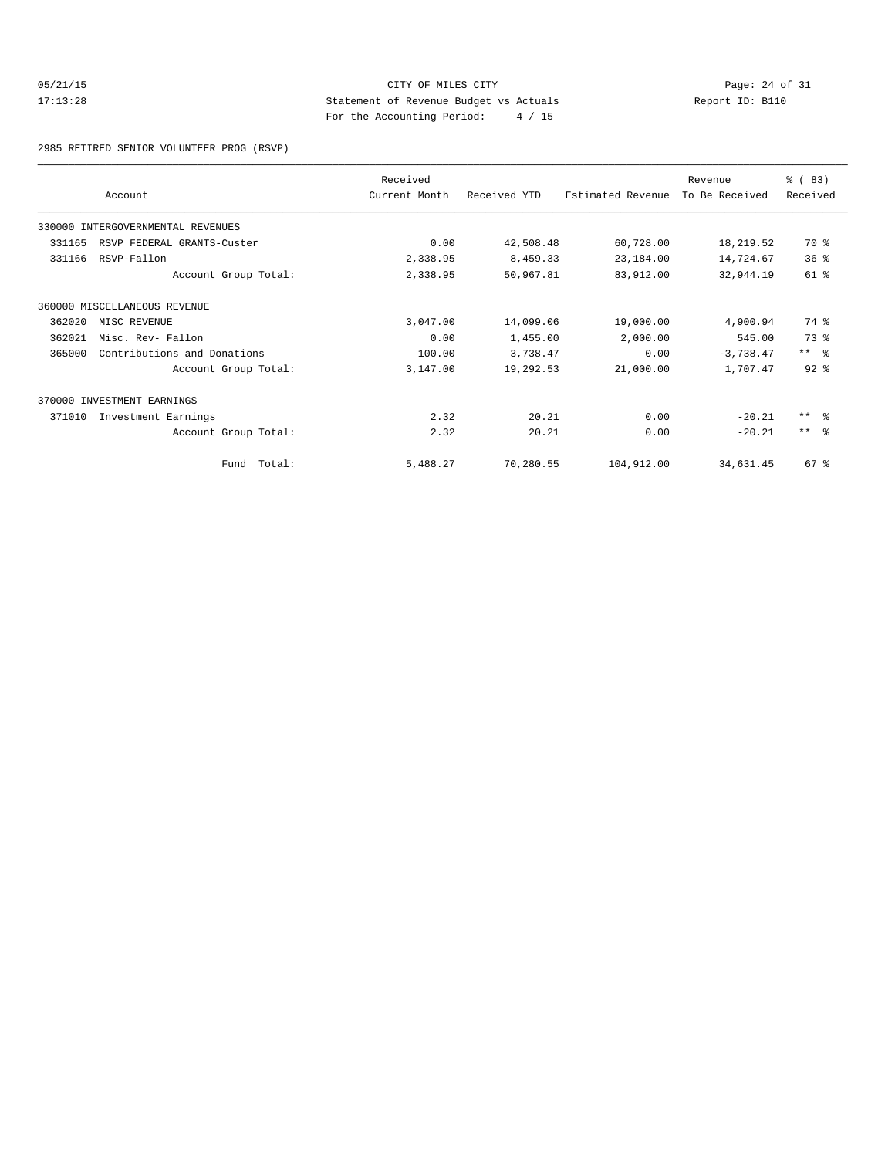## 05/21/15 Page: 24 of 31 17:13:28 Statement of Revenue Budget vs Actuals Report ID: B110 For the Accounting Period: 4 / 15

2985 RETIRED SENIOR VOLUNTEER PROG (RSVP)

|        |                                   | Received      |              |                   | Revenue        | % (83)          |
|--------|-----------------------------------|---------------|--------------|-------------------|----------------|-----------------|
|        | Account                           | Current Month | Received YTD | Estimated Revenue | To Be Received | Received        |
|        | 330000 INTERGOVERNMENTAL REVENUES |               |              |                   |                |                 |
| 331165 | RSVP FEDERAL GRANTS-Custer        | 0.00          | 42,508.48    | 60,728.00         | 18,219.52      | 70 %            |
| 331166 | RSVP-Fallon                       | 2,338.95      | 8,459.33     | 23,184.00         | 14,724.67      | 36%             |
|        | Account Group Total:              | 2,338.95      | 50,967.81    | 83,912.00         | 32,944.19      | 61 %            |
|        | 360000 MISCELLANEOUS REVENUE      |               |              |                   |                |                 |
| 362020 | MISC REVENUE                      | 3,047.00      | 14,099.06    | 19,000.00         | 4,900.94       | 74 %            |
| 362021 | Misc. Rev- Fallon                 | 0.00          | 1,455.00     | 2,000.00          | 545.00         | 73 %            |
| 365000 | Contributions and Donations       | 100.00        | 3,738.47     | 0.00              | $-3,738.47$    | $***$ $ -$      |
|        | Account Group Total:              | 3,147.00      | 19,292.53    | 21,000.00         | 1,707.47       | $92$ $%$        |
|        | 370000 INVESTMENT EARNINGS        |               |              |                   |                |                 |
| 371010 | Investment Earnings               | 2.32          | 20.21        | 0.00              | $-20.21$       | $***$ $ -$      |
|        | Account Group Total:              | 2.32          | 20.21        | 0.00              | $-20.21$       | $***$ $\approx$ |
|        | Fund Total:                       | 5,488.27      | 70,280.55    | 104,912.00        | 34,631.45      | 67 <sup>8</sup> |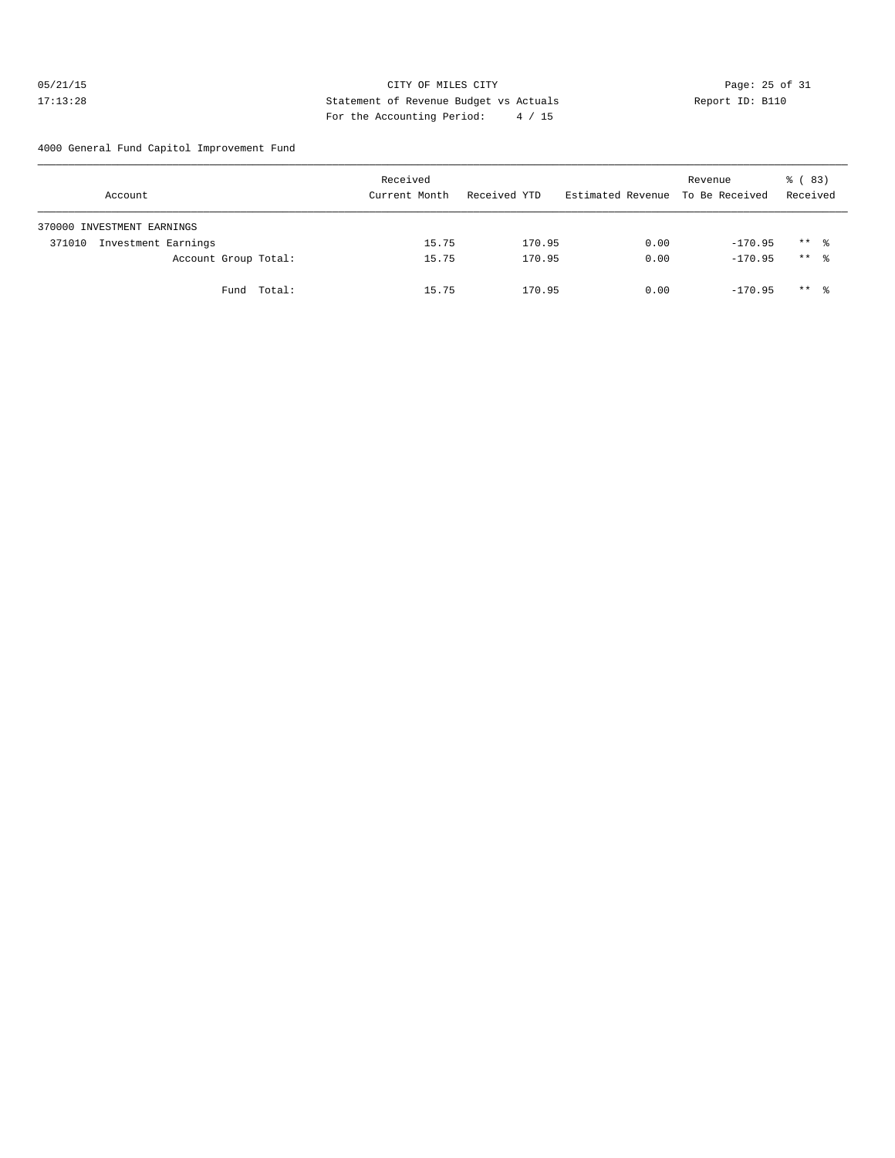## 05/21/15 Page: 25 of 31 17:13:28 Statement of Revenue Budget vs Actuals Report ID: B110 For the Accounting Period: 4 / 15

4000 General Fund Capitol Improvement Fund

|        | Account                    |             | Received<br>Current Month |       | Received YTD |        |      | Revenue<br>Estimated Revenue To Be Received |           | % (83)<br>Received  |  |
|--------|----------------------------|-------------|---------------------------|-------|--------------|--------|------|---------------------------------------------|-----------|---------------------|--|
|        | 370000 INVESTMENT EARNINGS |             |                           |       |              |        |      |                                             |           |                     |  |
| 371010 | Investment Earnings        |             |                           | 15.75 |              | 170.95 | 0.00 |                                             | $-170.95$ | $***$ $\frac{6}{3}$ |  |
|        | Account Group Total:       |             |                           | 15.75 |              | 170.95 | 0.00 |                                             | $-170.95$ | $***$ $\frac{6}{3}$ |  |
|        |                            | Fund Total: |                           | 15.75 |              | 170.95 | 0.00 |                                             | $-170.95$ | $***$ %             |  |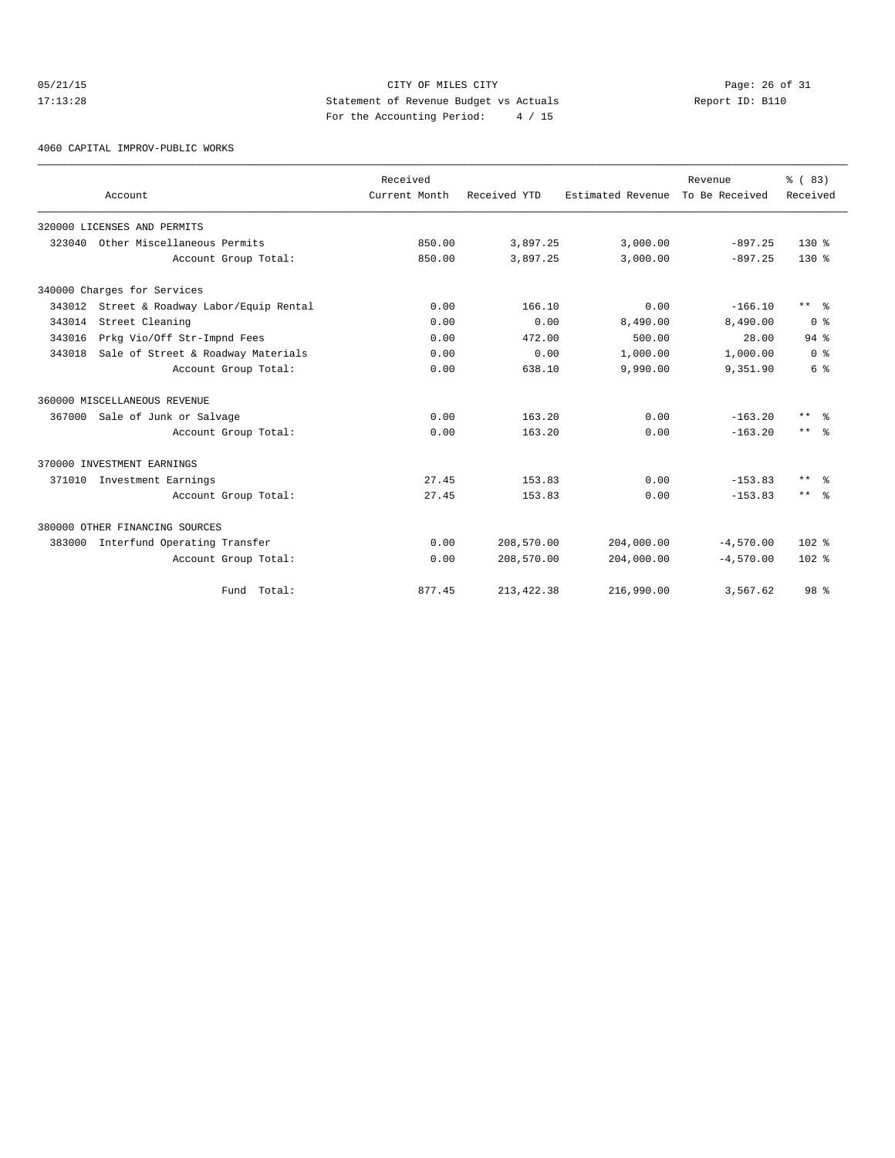## 05/21/15 Page: 26 of 31 17:13:28 Statement of Revenue Budget vs Actuals Report ID: B110 For the Accounting Period: 4 / 15

4060 CAPITAL IMPROV-PUBLIC WORKS

|        |                                            | Received      |              |                   |                           |                    |
|--------|--------------------------------------------|---------------|--------------|-------------------|---------------------------|--------------------|
|        | Account                                    | Current Month | Received YTD | Estimated Revenue | Revenue<br>To Be Received | % (83)<br>Received |
|        | 320000 LICENSES AND PERMITS                |               |              |                   |                           |                    |
| 323040 | Other Miscellaneous Permits                | 850.00        | 3,897.25     | 3,000.00          | $-897.25$                 | $130*$             |
|        | Account Group Total:                       | 850.00        | 3,897.25     | 3,000.00          | $-897.25$                 | $130*$             |
|        | 340000 Charges for Services                |               |              |                   |                           |                    |
|        | 343012 Street & Roadway Labor/Equip Rental | 0.00          | 166.10       | 0.00              | $-166.10$                 | $***$ $\approx$    |
| 343014 | Street Cleaning                            | 0.00          | 0.00         | 8,490.00          | 8,490.00                  | 0 <sup>8</sup>     |
| 343016 | Prkg Vio/Off Str-Impnd Fees                | 0.00          | 472.00       | 500.00            | 28.00                     | $94$ $%$           |
| 343018 | Sale of Street & Roadway Materials         | 0.00          | 0.00         | 1,000.00          | 1,000.00                  | 0 <sup>8</sup>     |
|        | Account Group Total:                       | 0.00          | 638.10       | 9,990.00          | 9,351.90                  | 6 %                |
|        | 360000 MISCELLANEOUS REVENUE               |               |              |                   |                           |                    |
| 367000 | Sale of Junk or Salvage                    | 0.00          | 163.20       | 0.00              | $-163.20$                 | $***$ $\approx$    |
|        | Account Group Total:                       | 0.00          | 163.20       | 0.00              | $-163.20$                 | $***$ $ -$         |
|        | 370000 INVESTMENT EARNINGS                 |               |              |                   |                           |                    |
|        | 371010 Investment Earnings                 | 27.45         | 153.83       | 0.00              | $-153.83$                 | $***$ $%$          |
|        | Account Group Total:                       | 27.45         | 153.83       | 0.00              | $-153.83$                 | $***$ $%$          |
|        | 380000 OTHER FINANCING SOURCES             |               |              |                   |                           |                    |
| 383000 | Interfund Operating Transfer               | 0.00          | 208,570.00   | 204,000.00        | $-4,570.00$               | $102$ %            |
|        | Account Group Total:                       | 0.00          | 208,570.00   | 204,000.00        | $-4,570.00$               | $102*$             |
|        | Fund Total:                                | 877.45        | 213, 422.38  | 216,990.00        | 3,567.62                  | 98 %               |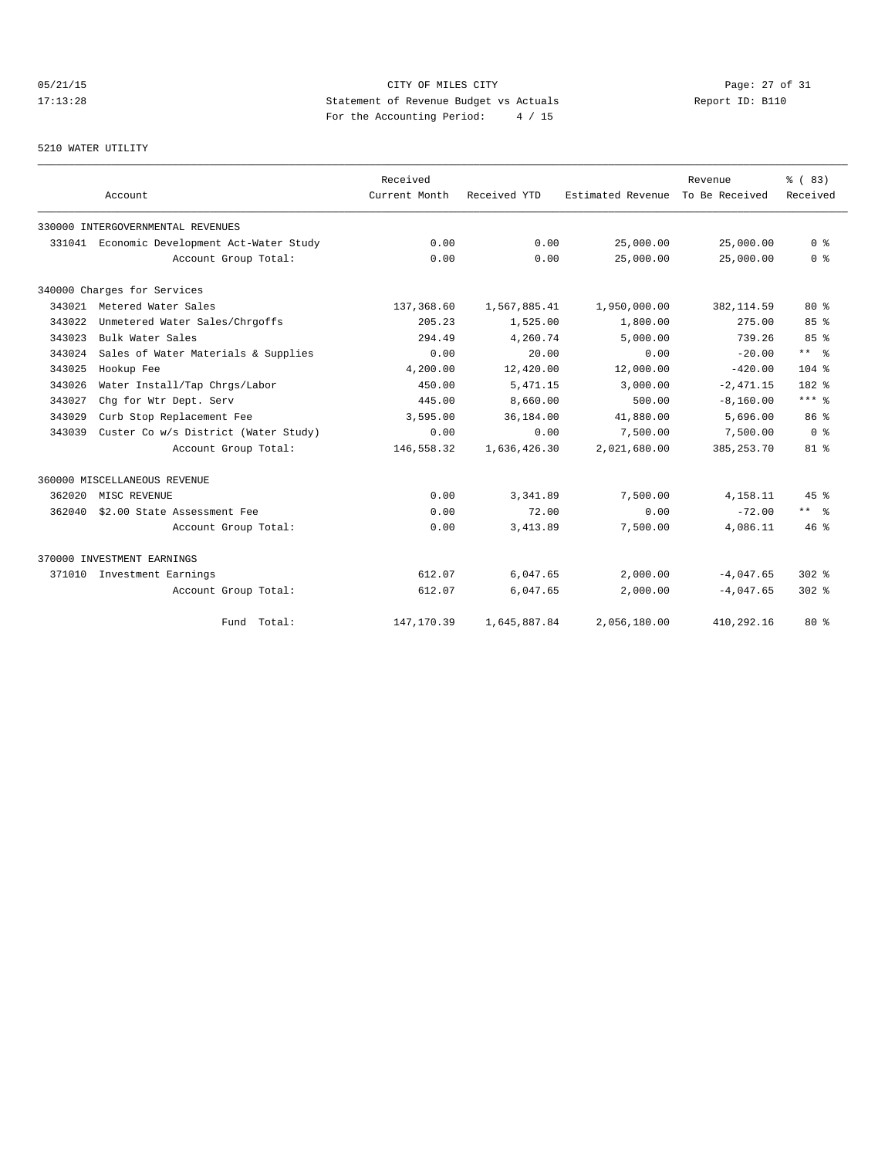# 05/21/15 Page: 27 of 31 17:13:28 Statement of Revenue Budget vs Actuals Report ID: B110 For the Accounting Period: 4 / 15

### 5210 WATER UTILITY

|        | Account                                     | Received<br>Current Month | Received YTD | Estimated Revenue | Revenue<br>To Be Received | % (83)<br>Received   |
|--------|---------------------------------------------|---------------------------|--------------|-------------------|---------------------------|----------------------|
|        | 330000 INTERGOVERNMENTAL REVENUES           |                           |              |                   |                           |                      |
|        | 331041 Economic Development Act-Water Study | 0.00                      | 0.00         | 25,000.00         | 25,000.00                 | 0 <sup>8</sup>       |
|        | Account Group Total:                        | 0.00                      | 0.00         | 25,000.00         | 25,000.00                 | 0 <sup>8</sup>       |
|        | 340000 Charges for Services                 |                           |              |                   |                           |                      |
|        | 343021 Metered Water Sales                  | 137,368.60                | 1,567,885.41 | 1,950,000.00      | 382,114.59                | $80*$                |
| 343022 | Unmetered Water Sales/Chrgoffs              | 205.23                    | 1,525.00     | 1,800.00          | 275.00                    | 85%                  |
| 343023 | Bulk Water Sales                            | 294.49                    | 4,260.74     | 5.000.00          | 739.26                    | 85 <sup>8</sup>      |
| 343024 | Sales of Water Materials & Supplies         | 0.00                      | 20.00        | 0.00              | $-20.00$                  | $***$ $ -$           |
| 343025 | Hookup Fee                                  | 4,200.00                  | 12,420.00    | 12,000.00         | $-420.00$                 | $104$ %              |
| 343026 | Water Install/Tap Chrgs/Labor               | 450.00                    | 5, 471.15    | 3,000.00          | $-2.471.15$               | 182 %                |
| 343027 | Chg for Wtr Dept. Serv                      | 445.00                    | 8,660.00     | 500.00            | $-8, 160.00$              | $***$ $_{8}$         |
| 343029 | Curb Stop Replacement Fee                   | 3,595.00                  | 36,184.00    | 41,880.00         | 5,696.00                  | 86 %                 |
| 343039 | Custer Co w/s District (Water Study)        | 0.00                      | 0.00         | 7,500.00          | 7,500.00                  | 0 <sup>8</sup>       |
|        | Account Group Total:                        | 146,558.32                | 1,636,426.30 | 2,021,680.00      | 385, 253. 70              | $81$ %               |
|        | 360000 MISCELLANEOUS REVENUE                |                           |              |                   |                           |                      |
| 362020 | MISC REVENUE                                | 0.00                      | 3, 341, 89   | 7,500.00          | 4,158.11                  | 45%                  |
| 362040 | \$2.00 State Assessment Fee                 | 0.00                      | 72.00        | 0.00              | $-72.00$                  | $***$ $ \frac{6}{9}$ |
|        | Account Group Total:                        | 0.00                      | 3,413.89     | 7,500.00          | 4,086.11                  | $46*$                |
|        | 370000 INVESTMENT EARNINGS                  |                           |              |                   |                           |                      |
| 371010 | Investment Earnings                         | 612.07                    | 6,047.65     | 2,000.00          | $-4,047.65$               | $302$ $%$            |
|        | Account Group Total:                        | 612.07                    | 6,047.65     | 2,000.00          | $-4,047.65$               | $302$ $%$            |
|        | Fund Total:                                 | 147,170.39                | 1,645,887.84 | 2,056,180.00      | 410,292.16                | $80*$                |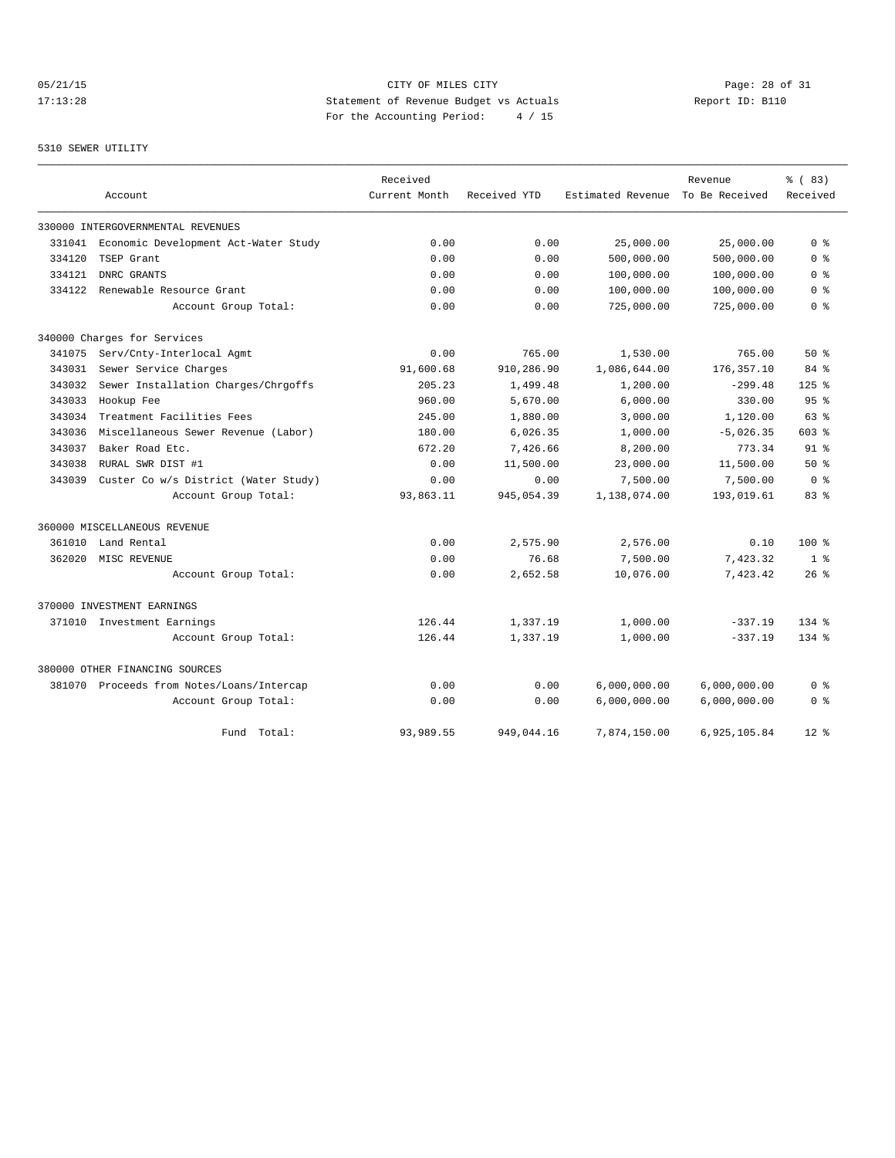# 05/21/15 Page: 28 of 31 17:13:28 Statement of Revenue Budget vs Actuals Report ID: B110<br>Report ID: B110 For the Accounting Period: 4 / 15

## 5310 SEWER UTILITY

|        |                                           | Received      |              |                   | Revenue        | % (83)          |
|--------|-------------------------------------------|---------------|--------------|-------------------|----------------|-----------------|
|        | Account                                   | Current Month | Received YTD | Estimated Revenue | To Be Received | Received        |
|        | 330000 INTERGOVERNMENTAL REVENUES         |               |              |                   |                |                 |
| 331041 | Economic Development Act-Water Study      | 0.00          | 0.00         | 25,000.00         | 25,000.00      | 0 <sup>8</sup>  |
| 334120 | TSEP Grant                                | 0.00          | 0.00         | 500,000.00        | 500,000.00     | 0 %             |
| 334121 | DNRC GRANTS                               | 0.00          | 0.00         | 100,000.00        | 100,000.00     | 0 <sub>8</sub>  |
| 334122 | Renewable Resource Grant                  | 0.00          | 0.00         | 100,000.00        | 100,000.00     | 0 <sup>8</sup>  |
|        | Account Group Total:                      | 0.00          | 0.00         | 725,000.00        | 725,000.00     | 0 %             |
|        | 340000 Charges for Services               |               |              |                   |                |                 |
| 341075 | Serv/Cnty-Interlocal Agmt                 | 0.00          | 765.00       | 1,530.00          | 765.00         | $50*$           |
| 343031 | Sewer Service Charges                     | 91,600.68     | 910,286.90   | 1,086,644.00      | 176, 357.10    | 84%             |
| 343032 | Sewer Installation Charges/Chrgoffs       | 205.23        | 1,499.48     | 1,200.00          | $-299.48$      | $125$ %         |
| 343033 | Hookup Fee                                | 960.00        | 5,670.00     | 6,000.00          | 330.00         | 95 <sup>8</sup> |
| 343034 | Treatment Facilities Fees                 | 245.00        | 1,880.00     | 3,000.00          | 1,120.00       | 63%             |
| 343036 | Miscellaneous Sewer Revenue (Labor)       | 180.00        | 6,026.35     | 1,000.00          | $-5,026.35$    | 603 %           |
| 343037 | Baker Road Etc.                           | 672.20        | 7,426.66     | 8,200.00          | 773.34         | 91 <sup>°</sup> |
| 343038 | RURAL SWR DIST #1                         | 0.00          | 11,500.00    | 23,000.00         | 11,500.00      | 50%             |
| 343039 | Custer Co w/s District (Water Study)      | 0.00          | 0.00         | 7,500.00          | 7,500.00       | 0 <sup>8</sup>  |
|        | Account Group Total:                      | 93,863.11     | 945,054.39   | 1,138,074.00      | 193,019.61     | 83%             |
|        | 360000 MISCELLANEOUS REVENUE              |               |              |                   |                |                 |
| 361010 | Land Rental                               | 0.00          | 2,575.90     | 2,576.00          | 0.10           | $100*$          |
| 362020 | MISC REVENUE                              | 0.00          | 76.68        | 7,500.00          | 7,423.32       | 1 <sup>8</sup>  |
|        | Account Group Total:                      | 0.00          | 2,652.58     | 10,076.00         | 7,423.42       | $26$ %          |
|        | 370000 INVESTMENT EARNINGS                |               |              |                   |                |                 |
|        | 371010 Investment Earnings                | 126.44        | 1,337.19     | 1,000.00          | $-337.19$      | $134*$          |
|        | Account Group Total:                      | 126.44        | 1,337.19     | 1,000.00          | $-337.19$      | $134*$          |
|        | 380000 OTHER FINANCING SOURCES            |               |              |                   |                |                 |
|        | 381070 Proceeds from Notes/Loans/Intercap | 0.00          | 0.00         | 6,000,000.00      | 6,000,000.00   | 0 <sup>8</sup>  |
|        | Account Group Total:                      | 0.00          | 0.00         | 6,000,000.00      | 6,000,000.00   | 0 <sup>8</sup>  |
|        | Fund Total:                               | 93,989.55     | 949,044.16   | 7,874,150.00      | 6,925,105.84   | $12*$           |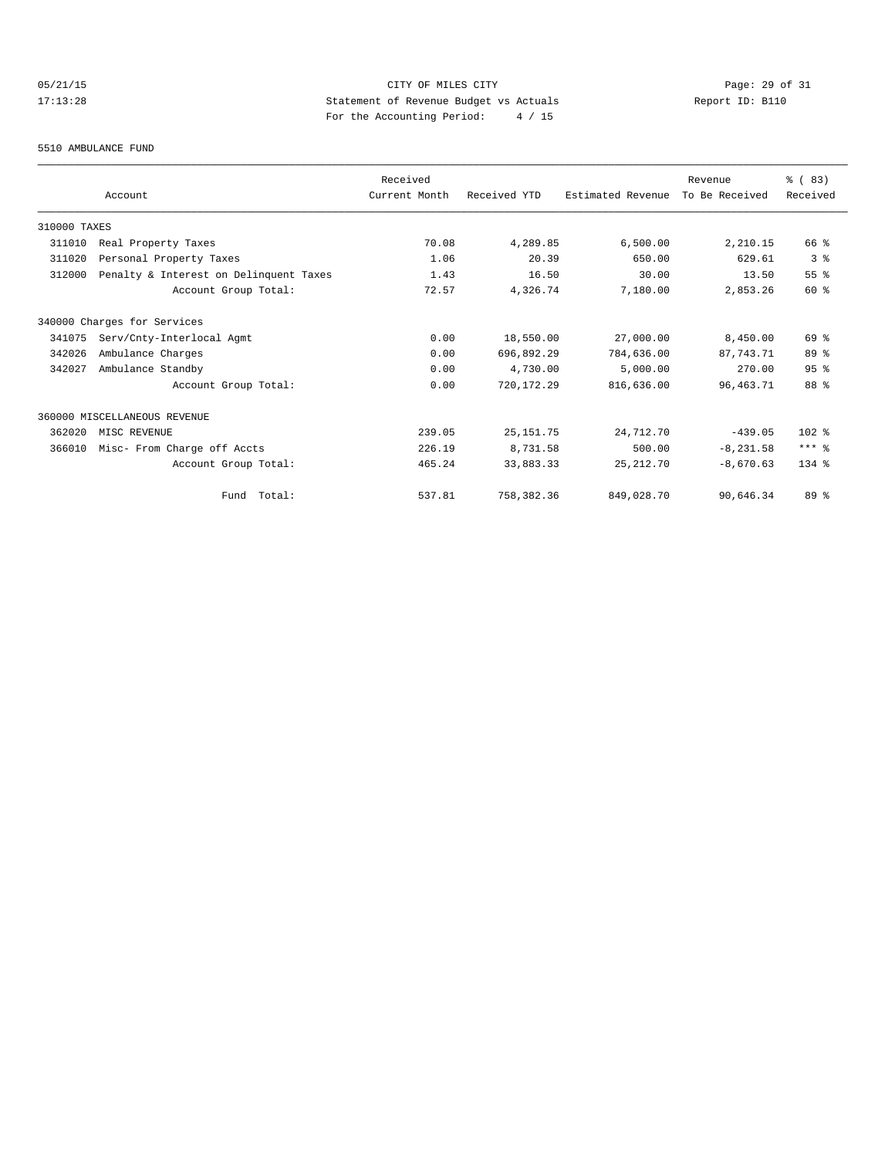# 05/21/15 CITY OF MILES CITY CHE CITY Page: 29 of 31<br>17:13:28 Statement of Revenue Budget vs Actuals Report ID: B110<br>For the Accounting Posite (19) of 15 17:13:28 Statement of Revenue Budget vs Actuals Report ID: B110 For the Accounting Period: 4 / 15

#### 5510 AMBULANCE FUND

|              |                                        | Received      |              |                   | Revenue        | % (83)          |
|--------------|----------------------------------------|---------------|--------------|-------------------|----------------|-----------------|
|              | Account                                | Current Month | Received YTD | Estimated Revenue | To Be Received | Received        |
| 310000 TAXES |                                        |               |              |                   |                |                 |
| 311010       | Real Property Taxes                    | 70.08         | 4,289.85     | 6,500.00          | 2,210.15       | 66 %            |
| 311020       | Personal Property Taxes                | 1.06          | 20.39        | 650.00            | 629.61         | 3%              |
| 312000       | Penalty & Interest on Delinquent Taxes | 1.43          | 16.50        | 30.00             | 13.50          | 55%             |
|              | Account Group Total:                   | 72.57         | 4,326.74     | 7,180.00          | 2,853.26       | 60 %            |
|              | 340000 Charges for Services            |               |              |                   |                |                 |
| 341075       | Serv/Cnty-Interlocal Agmt              | 0.00          | 18,550.00    | 27,000.00         | 8,450.00       | 69 %            |
| 342026       | Ambulance Charges                      | 0.00          | 696,892.29   | 784,636.00        | 87.743.71      | 89 %            |
| 342027       | Ambulance Standby                      | 0.00          | 4,730.00     | 5,000.00          | 270.00         | 95 <sup>8</sup> |
|              | Account Group Total:                   | 0.00          | 720, 172.29  | 816,636.00        | 96, 463. 71    | 88 %            |
|              | 360000 MISCELLANEOUS REVENUE           |               |              |                   |                |                 |
| 362020       | MISC REVENUE                           | 239.05        | 25, 151.75   | 24,712.70         | $-439.05$      | $102$ %         |
| 366010       | Misc- From Charge off Accts            | 226.19        | 8,731.58     | 500.00            | $-8, 231.58$   | $***$ $%$       |
|              | Account Group Total:                   | 465.24        | 33,883.33    | 25, 212.70        | $-8.670.63$    | $134$ $%$       |
|              | Fund Total:                            | 537.81        | 758,382.36   | 849,028.70        | 90,646.34      | $89*$           |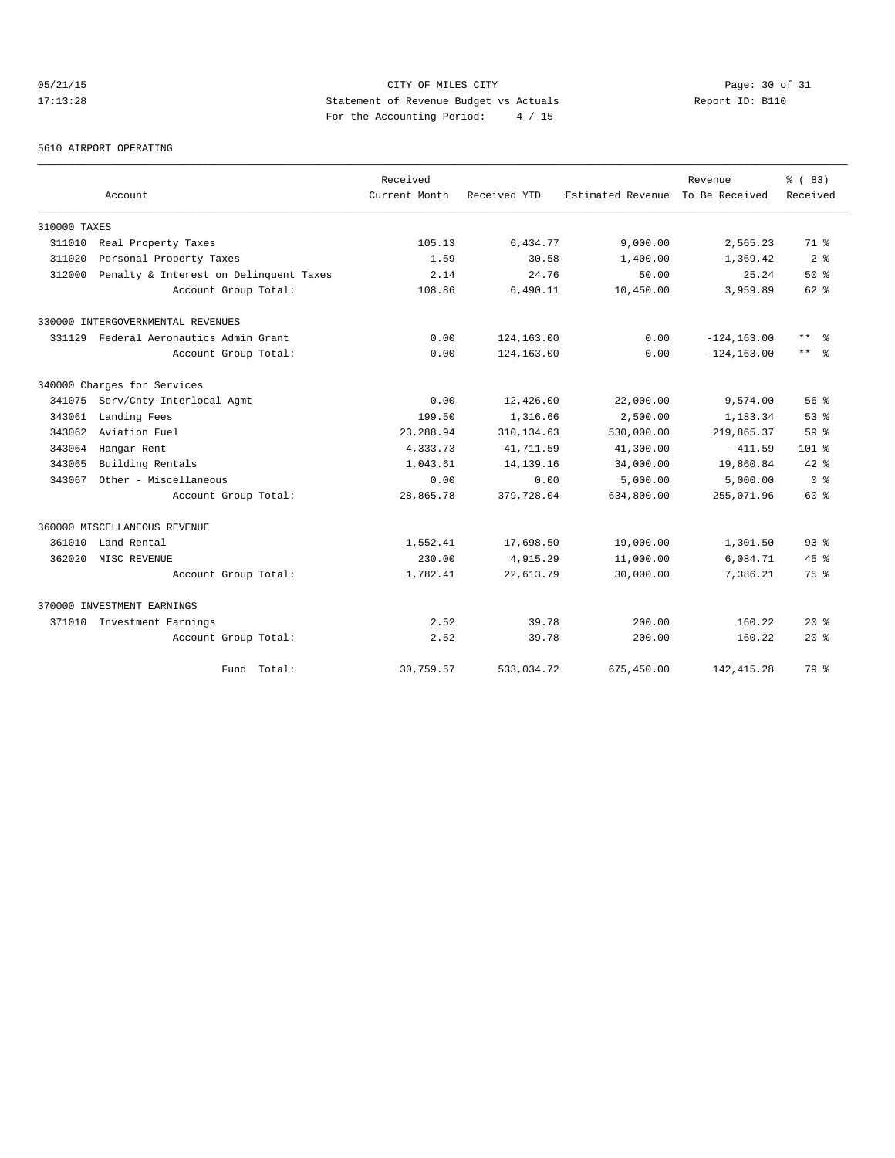# 05/21/15 Page: 30 of 31 17:13:28 Statement of Revenue Budget vs Actuals Report ID: B110 For the Accounting Period: 4 / 15

5610 AIRPORT OPERATING

|              |                                        | Received      |              |                   | Revenue        | % (83)          |
|--------------|----------------------------------------|---------------|--------------|-------------------|----------------|-----------------|
|              | Account                                | Current Month | Received YTD | Estimated Revenue | To Be Received | Received        |
| 310000 TAXES |                                        |               |              |                   |                |                 |
| 311010       | Real Property Taxes                    | 105.13        | 6,434.77     | 9,000.00          | 2,565.23       | 71.8            |
| 311020       | Personal Property Taxes                | 1.59          | 30.58        | 1,400.00          | 1,369.42       | 2 <sup>8</sup>  |
| 312000       | Penalty & Interest on Delinquent Taxes | 2.14          | 24.76        | 50.00             | 25.24          | $50*$           |
|              | Account Group Total:                   | 108.86        | 6,490.11     | 10,450.00         | 3,959.89       | $62$ $%$        |
|              | 330000 INTERGOVERNMENTAL REVENUES      |               |              |                   |                |                 |
| 331129       | Federal Aeronautics Admin Grant        | 0.00          | 124,163.00   | 0.00              | $-124, 163.00$ | $***$ $\approx$ |
|              | Account Group Total:                   | 0.00          | 124,163.00   | 0.00              | $-124, 163.00$ | $***$ $ -$      |
|              | 340000 Charges for Services            |               |              |                   |                |                 |
| 341075       | Serv/Cnty-Interlocal Agmt              | 0.00          | 12,426.00    | 22,000.00         | 9,574.00       | 56%             |
| 343061       | Landing Fees                           | 199.50        | 1,316.66     | 2,500.00          | 1,183.34       | 53%             |
| 343062       | Aviation Fuel                          | 23, 288.94    | 310, 134.63  | 530,000.00        | 219,865.37     | 59 %            |
| 343064       | Hangar Rent                            | 4,333.73      | 41,711.59    | 41,300.00         | $-411.59$      | $101*$          |
| 343065       | Building Rentals                       | 1,043.61      | 14, 139. 16  | 34,000.00         | 19,860.84      | $42*$           |
| 343067       | Other - Miscellaneous                  | 0.00          | 0.00         | 5,000.00          | 5,000.00       | 0 <sup>8</sup>  |
|              | Account Group Total:                   | 28,865.78     | 379,728.04   | 634,800.00        | 255,071.96     | 60 %            |
|              | 360000 MISCELLANEOUS REVENUE           |               |              |                   |                |                 |
| 361010       | Land Rental                            | 1,552.41      | 17,698.50    | 19,000.00         | 1,301.50       | 93 <sup>8</sup> |
| 362020       | MISC REVENUE                           | 230.00        | 4,915.29     | 11,000.00         | 6,084.71       | 45%             |
|              | Account Group Total:                   | 1,782.41      | 22,613.79    | 30,000.00         | 7,386.21       | 75 %            |
|              | 370000 INVESTMENT EARNINGS             |               |              |                   |                |                 |
|              | 371010 Investment Earnings             | 2.52          | 39.78        | 200.00            | 160.22         | $20*$           |
|              | Account Group Total:                   | 2.52          | 39.78        | 200.00            | 160.22         | $20*$           |
|              | Fund Total:                            | 30,759.57     | 533,034.72   | 675,450.00        | 142, 415.28    | 79 %            |